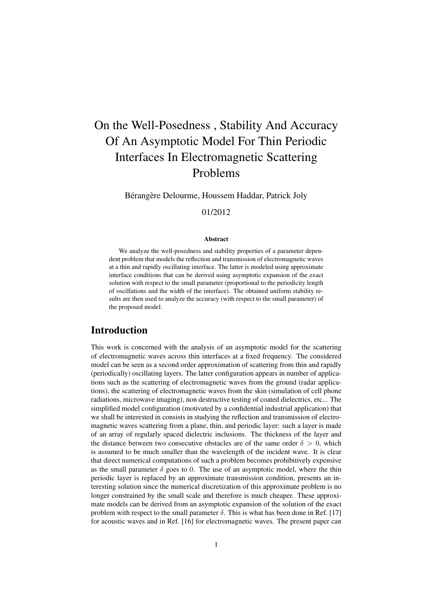# On the Well-Posedness , Stability And Accuracy Of An Asymptotic Model For Thin Periodic Interfaces In Electromagnetic Scattering Problems

Bérangère Delourme, Houssem Haddar, Patrick Joly

### 01/2012

#### **Abstract**

We analyze the well-posedness and stability properties of a parameter dependent problem that models the reflection and transmission of electromagnetic waves at a thin and rapidly oscillating interface. The latter is modeled using approximate interface conditions that can be derived using asymptotic expansion of the exact solution with respect to the small parameter (proportional to the periodicity length of oscillations and the width of the interface). The obtained uniform stability results are then used to analyze the accuracy (with respect to the small parameter) of the proposed model.

## Introduction

This work is concerned with the analysis of an asymptotic model for the scattering of electromagnetic waves across thin interfaces at a fixed frequency. The considered model can be seen as a second order approximation of scattering from thin and rapidly (periodically) oscillating layers. The latter configuration appears in number of applications such as the scattering of electromagnetic waves from the ground (radar applications), the scattering of electromagnetic waves from the skin (simulation of cell phone radiations, microwave imaging), non destructive testing of coated dielectrics, etc... The simplified model configuration (motivated by a confidential industrial application) that we shall be interested in consists in studying the reflection and transmission of electromagnetic waves scattering from a plane, thin, and periodic layer: such a layer is made of an array of regularly spaced dielectric inclusions. The thickness of the layer and the distance between two consecutive obstacles are of the same order  $\delta > 0$ , which is assumed to be much smaller than the wavelength of the incident wave. It is clear that direct numerical computations of such a problem becomes prohibitively expensive as the small parameter  $\delta$  goes to 0. The use of an asymptotic model, where the thin periodic layer is replaced by an approximate transmission condition, presents an interesting solution since the numerical discretization of this approximate problem is no longer constrained by the small scale and therefore is much cheaper. These approximate models can be derived from an asymptotic expansion of the solution of the exact problem with respect to the small parameter  $\delta$ . This is what has been done in Ref. [17] for acoustic waves and in Ref. [16] for electromagnetic waves. The present paper can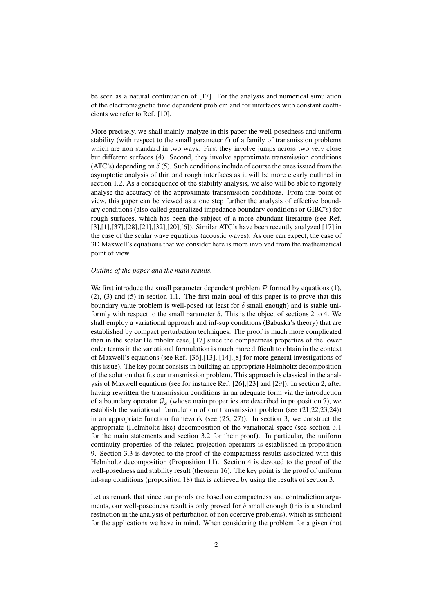be seen as a natural continuation of [17]. For the analysis and numerical simulation of the electromagnetic time dependent problem and for interfaces with constant coefficients we refer to Ref. [10].

More precisely, we shall mainly analyze in this paper the well-posedness and uniform stability (with respect to the small parameter  $\delta$ ) of a family of transmission problems which are non standard in two ways. First they involve jumps across two very close but different surfaces (4). Second, they involve approximate transmission conditions (ATC's) depending on  $\delta$  (5). Such conditions include of course the ones issued from the asymptotic analysis of thin and rough interfaces as it will be more clearly outlined in section 1.2. As a consequence of the stability analysis, we also will be able to rigously analyse the accuracy of the approximate transmission conditions. From this point of view, this paper can be viewed as a one step further the analysis of effective boundary conditions (also called generalized impedance boundary conditions or GIBC's) for rough surfaces, which has been the subject of a more abundant literature (see Ref. [3],[1],[37],[28],[21],[32],[20],[6]). Similar ATC's have been recently analyzed [17] in the case of the scalar wave equations (acoustic waves). As one can expect, the case of 3D Maxwell's equations that we consider here is more involved from the mathematical point of view.

#### *Outline of the paper and the main results.*

We first introduce the small parameter dependent problem  $\mathcal P$  formed by equations (1), (2), (3) and (5) in section 1.1. The first main goal of this paper is to prove that this boundary value problem is well-posed (at least for  $\delta$  small enough) and is stable uniformly with respect to the small parameter  $\delta$ . This is the object of sections 2 to 4. We shall employ a variational approach and inf-sup conditions (Babuska's theory) that are established by compact perturbation techniques. The proof is much more complicated than in the scalar Helmholtz case, [17] since the compactness properties of the lower order terms in the variational formulation is much more difficult to obtain in the context of Maxwell's equations (see Ref. [36],[13], [14],[8] for more general investigations of this issue). The key point consists in building an appropriate Helmholtz decomposition of the solution that fits our transmission problem. This approach is classical in the analysis of Maxwell equations (see for instance Ref. [26],[23] and [29]). In section 2, after having rewritten the transmission conditions in an adequate form via the introduction of a boundary operator  $\mathcal{G}_{\omega}$  (whose main properties are described in proposition 7), we establish the variational formulation of our transmission problem (see (21,22,23,24)) in an appropriate function framework (see (25, 27)). In section 3, we construct the appropriate (Helmholtz like) decomposition of the variational space (see section 3.1 for the main statements and section 3.2 for their proof). In particular, the uniform continuity properties of the related projection operators is established in proposition 9. Section 3.3 is devoted to the proof of the compactness results associated with this Helmholtz decomposition (Proposition 11). Section 4 is devoted to the proof of the well-posedness and stability result (theorem 16). The key point is the proof of uniform inf-sup conditions (proposition 18) that is achieved by using the results of section 3.

Let us remark that since our proofs are based on compactness and contradiction arguments, our well-posedness result is only proved for  $\delta$  small enough (this is a standard restriction in the analysis of perturbation of non coercive problems), which is sufficient for the applications we have in mind. When considering the problem for a given (not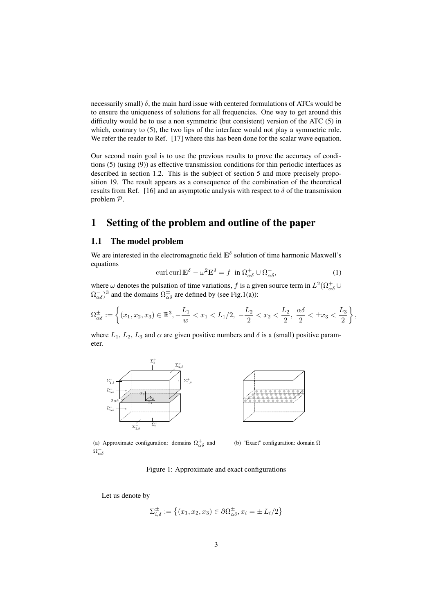necessarily small)  $\delta$ , the main hard issue with centered formulations of ATCs would be to ensure the uniqueness of solutions for all frequencies. One way to get around this difficulty would be to use a non symmetric (but consistent) version of the ATC (5) in which, contrary to  $(5)$ , the two lips of the interface would not play a symmetric role. We refer the reader to Ref. [17] where this has been done for the scalar wave equation.

Our second main goal is to use the previous results to prove the accuracy of conditions (5) (using (9)) as effective transmission conditions for thin periodic interfaces as described in section 1.2. This is the subject of section 5 and more precisely proposition 19. The result appears as a consequence of the combination of the theoretical results from Ref. [16] and an asymptotic analysis with respect to  $\delta$  of the transmission problem P.

# 1 Setting of the problem and outline of the paper

#### 1.1 The model problem

We are interested in the electromagnetic field  $\mathbf{E}^{\delta}$  solution of time harmonic Maxwell's equations

$$
\operatorname{curl} \operatorname{curl} \mathbf{E}^{\delta} - \omega^2 \mathbf{E}^{\delta} = f \quad \text{in } \Omega_{\alpha\delta}^+ \cup \Omega_{\alpha\delta}^-, \tag{1}
$$

where  $\omega$  denotes the pulsation of time variations, f is a given source term in  $L^2(\Omega_{\alpha\delta}^+)$  $(\Omega_{\alpha\delta}^-)^3$  and the domains  $\Omega_{\alpha\delta}^{\pm}$  are defined by (see Fig.1(a)):

$$
\Omega_{\alpha\delta}^{\pm} := \left\{ (x_1, x_2, x_3) \in \mathbb{R}^3, -\frac{L_1}{w} < x_1 < L_1/2, -\frac{L_2}{2} < x_2 < \frac{L_2}{2}, \frac{\alpha\delta}{2} < \pm x_3 < \frac{L_3}{2} \right\}
$$

where  $L_1$ ,  $L_2$ ,  $L_3$  and  $\alpha$  are given positive numbers and  $\delta$  is a (small) positive parameter.





,

(a) Approximate configuration: domains  $\Omega_{\alpha\delta}^{+}$  and  $\Omega_{\alpha\delta}^{-}$ 

(b) "Exact" configuration: domain Ω

Figure 1: Approximate and exact configurations

Let us denote by

$$
\Sigma_{i,\delta}^{\pm} := \left\{ (x_1, x_2, x_3) \in \partial \Omega_{\alpha\delta}^{\pm}, x_i = \pm L_i/2 \right\}
$$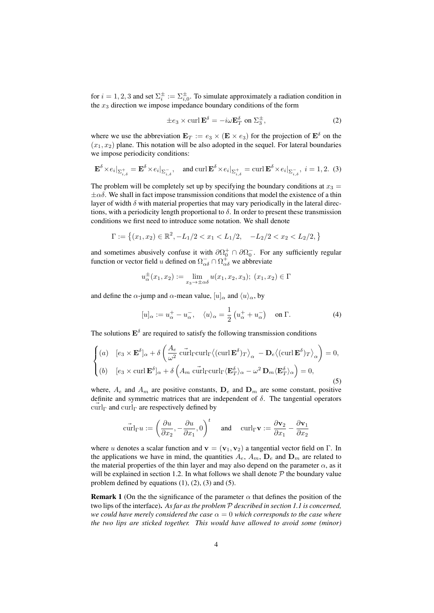for  $i = 1, 2, 3$  and set  $\Sigma_i^{\pm} := \Sigma_{i,0}^{\pm}$ . To simulate approximately a radiation condition in the  $x_3$  direction we impose impedance boundary conditions of the form

$$
\pm e_3 \times \operatorname{curl} \mathbf{E}^\delta = -i\omega \mathbf{E}_T^\delta \text{ on } \Sigma_3^\pm,
$$
 (2)

where we use the abbreviation  $\mathbf{E}_T := e_3 \times (\mathbf{E} \times e_3)$  for the projection of  $\mathbf{E}^{\delta}$  on the  $(x_1, x_2)$  plane. This notation will be also adopted in the sequel. For lateral boundaries we impose periodicity conditions:

$$
\mathbf{E}^{\delta} \times e_i|_{\Sigma_{i,\delta}^+} = \mathbf{E}^{\delta} \times e_i|_{\Sigma_{i,\delta}^-}, \quad \text{and curl } \mathbf{E}^{\delta} \times e_i|_{\Sigma_{i,\delta}^+} = \text{curl } \mathbf{E}^{\delta} \times e_i|_{\Sigma_{i,\delta}^-}, \ i = 1,2. \tag{3}
$$

The problem will be completely set up by specifying the boundary conditions at  $x_3 =$  $\pm \alpha \delta$ . We shall in fact impose transmission conditions that model the existence of a thin layer of width  $\delta$  with material properties that may vary periodically in the lateral directions, with a periodicity length proportional to  $\delta$ . In order to present these transmission conditions we first need to introduce some notation. We shall denote

$$
\Gamma := \left\{ (x_1, x_2) \in \mathbb{R}^2, -L_1/2 < x_1 < L_1/2, \quad -L_2/2 < x_2 < L_2/2, \right\}
$$

and sometimes abusively confuse it with  $\partial \Omega_0^+ \cap \partial \Omega_0^-$ . For any sufficiently regular function or vector field u defined on  $\Omega_{\alpha\delta}^- \cap \Omega_{\alpha\delta}^+$  we abbreviate

$$
u_{\alpha}^{\pm}(x_1, x_2) := \lim_{x_3 \to \pm \alpha \delta} u(x_1, x_2, x_3); (x_1, x_2) \in \Gamma
$$

and define the  $\alpha$ -jump and  $\alpha$ -mean value,  $[u]_{\alpha}$  and  $\langle u \rangle_{\alpha}$ , by

$$
[u]_{\alpha} := u_{\alpha}^{+} - u_{\alpha}^{-}, \quad \langle u \rangle_{\alpha} = \frac{1}{2} \left( u_{\alpha}^{+} + u_{\alpha}^{-} \right) \quad \text{on } \Gamma. \tag{4}
$$

The solutions  $\mathbf{E}^{\delta}$  are required to satisfy the following transmission conditions

$$
\begin{cases}\n(a) & [e_3 \times \mathbf{E}^{\delta}]_{\alpha} + \delta \left( \frac{A_e}{\omega^2} \operatorname{curl}_{\Gamma} \langle (\operatorname{curl} \mathbf{E}^{\delta})_T \rangle_{\alpha} - \mathbf{D}_e \langle (\operatorname{curl} \mathbf{E}^{\delta})_T \rangle_{\alpha} \right) = 0, \\
(b) & [e_3 \times \operatorname{curl} \mathbf{E}^{\delta}]_{\alpha} + \delta \left( A_m \operatorname{curl}_{\Gamma} \langle \mathbf{E}_T^{\delta} \rangle_{\alpha} - \omega^2 \mathbf{D}_m \langle \mathbf{E}_T^{\delta} \rangle_{\alpha} \right) = 0,\n\end{cases}
$$
\n(5)

where,  $A_e$  and  $A_m$  are positive constants,  $D_e$  and  $D_m$  are some constant, positive definite and symmetric matrices that are independent of  $\delta$ . The tangential operators  $\operatorname{curl}_{\Gamma}$  and  $\operatorname{curl}_{\Gamma}$  are respectively defined by

$$
\vec{\text{curl}}_{\Gamma} u := \left(\frac{\partial u}{\partial x_2}, -\frac{\partial u}{\partial x_1}, 0\right)^t \quad \text{ and } \quad \text{curl}_{\Gamma} \mathbf{v} := \frac{\partial \mathbf{v}_2}{\partial x_1} - \frac{\partial \mathbf{v}_1}{\partial x_2}
$$

where u denotes a scalar function and  $\mathbf{v} = (\mathbf{v}_1, \mathbf{v}_2)$  a tangential vector field on Γ. In the applications we have in mind, the quantities  $A_e$ ,  $A_m$ ,  $D_e$  and  $D_m$  are related to the material properties of the thin layer and may also depend on the parameter  $\alpha$ , as it will be explained in section 1.2. In what follows we shall denote  $P$  the boundary value problem defined by equations  $(1)$ ,  $(2)$ ,  $(3)$  and  $(5)$ .

**Remark 1** (On the the significance of the parameter  $\alpha$  that defines the position of the two lips of the interface). *As far as the problem* P *described in section 1.1 is concerned, we could have merely considered the case*  $\alpha = 0$  *which corresponds to the case where the two lips are sticked together. This would have allowed to avoid some (minor)*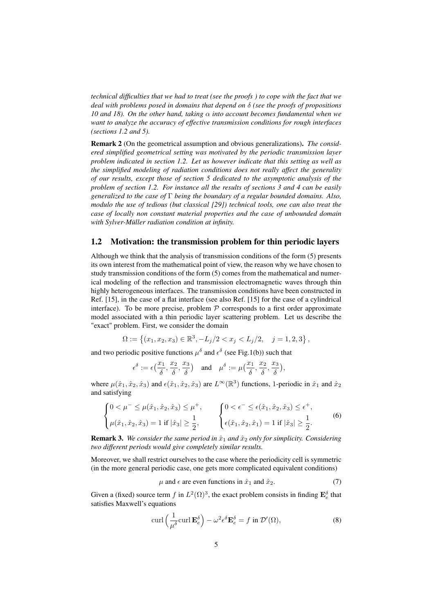*technical difficulties that we had to treat (see the proofs ) to cope with the fact that we deal with problems posed in domains that depend on* δ *(see the proofs of propositions 10 and 18). On the other hand, taking* α *into account becomes fundamental when we want to analyze the accuracy of effective transmission conditions for rough interfaces (sections 1.2 and 5).*

Remark 2 (On the geometrical assumption and obvious generalizations). *The considered simplified geometrical setting was motivated by the periodic transmission layer problem indicated in section 1.2. Let us however indicate that this setting as well as the simplified modeling of radiation conditions does not really affect the generality of our results, except those of section 5 dedicated to the asymptotic analysis of the problem of section 1.2. For instance all the results of sections 3 and 4 can be easily generalized to the case of* Γ *being the boundary of a regular bounded domains. Also, modulo the use of tedious (but classical [29]) technical tools, one can also treat the case of locally non constant material properties and the case of unbounded domain with Sylver-Müller radiation condition at infinity.*

#### 1.2 Motivation: the transmission problem for thin periodic layers

Although we think that the analysis of transmission conditions of the form (5) presents its own interest from the mathematical point of view, the reason why we have chosen to study transmission conditions of the form (5) comes from the mathematical and numerical modeling of the reflection and transmission electromagnetic waves through thin highly heterogeneous interfaces. The transmission conditions have been constructed in Ref. [15], in the case of a flat interface (see also Ref. [15] for the case of a cylindrical interface). To be more precise, problem  $P$  corresponds to a first order approximate model associated with a thin periodic layer scattering problem. Let us describe the "exact" problem. First, we consider the domain

$$
\Omega := \left\{ (x_1, x_2, x_3) \in \mathbb{R}^3, -L_j/2 < x_j < L_j/2, \quad j = 1, 2, 3 \right\},\
$$

and two periodic positive functions  $\mu^{\delta}$  and  $\epsilon^{\delta}$  (see Fig.1(b)) such that

$$
\epsilon^{\delta}:=\epsilon\big(\frac{x_1}{\delta},\frac{x_2}{\delta},\frac{x_3}{\delta}\big)\quad\text{and}\quad \mu^{\delta}:=\mu\big(\frac{x_1}{\delta},\frac{x_2}{\delta},\frac{x_3}{\delta}\big),
$$

where  $\mu(\hat{x}_1, \hat{x}_2, \hat{x}_3)$  and  $\epsilon(\hat{x}_1, \hat{x}_2, \hat{x}_3)$  are  $L^{\infty}(\mathbb{R}^3)$  functions, 1-periodic in  $\hat{x}_1$  and  $\hat{x}_2$ and satisfying

$$
\begin{cases} 0 < \mu^- \le \mu(\hat{x}_1, \hat{x}_2, \hat{x}_3) \le \mu^+, \\ \mu(\hat{x}_1, \hat{x}_2, \hat{x}_3) = 1 \text{ if } |\hat{x}_3| \ge \frac{1}{2}, \end{cases} \qquad \begin{cases} 0 < \epsilon^- \le \epsilon(\hat{x}_1, \hat{x}_2, \hat{x}_3) \le \epsilon^+, \\ \epsilon(\hat{x}_1, \hat{x}_2, \hat{x}_1) = 1 \text{ if } |\hat{x}_3| \ge \frac{1}{2}. \end{cases} \tag{6}
$$

**Remark 3.** We consider the same period in  $\hat{x}_1$  and  $\hat{x}_2$  only for simplicity. Considering *two different periods would give completely similar results.*

Moreover, we shall restrict ourselves to the case where the periodicity cell is symmetric (in the more general periodic case, one gets more complicated equivalent conditions)

$$
\mu \text{ and } \epsilon \text{ are even functions in } \hat{x}_1 \text{ and } \hat{x}_2. \tag{7}
$$

Given a (fixed) source term f in  $L^2(\Omega)^3$ , the exact problem consists in finding  $\mathbf{E}_e^{\delta}$  that satisfies Maxwell's equations

$$
\operatorname{curl}\left(\frac{1}{\mu^{\delta}}\operatorname{curl}\mathbf{E}_{e}^{\delta}\right) - \omega^{2}\epsilon^{\delta}\mathbf{E}_{e}^{\delta} = f \text{ in } \mathcal{D}'(\Omega),\tag{8}
$$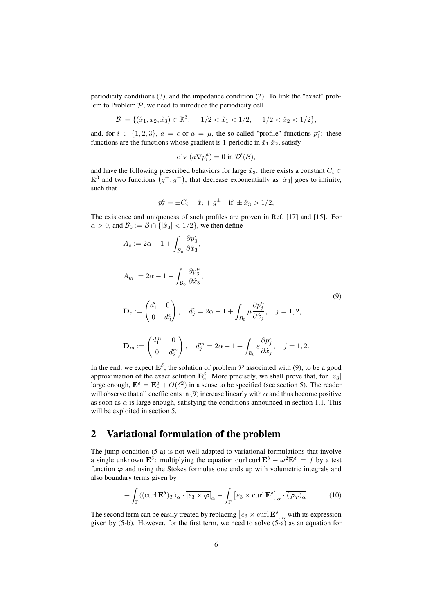periodicity conditions (3), and the impedance condition (2). To link the "exact" problem to Problem  $P$ , we need to introduce the periodicity cell

$$
\mathcal{B} := \{ (\hat{x}_1, x_2, \hat{x}_3) \in \mathbb{R}^3, -1/2 < \hat{x}_1 < 1/2, -1/2 < \hat{x}_2 < 1/2 \},\
$$

and, for  $i \in \{1,2,3\}$ ,  $a = \epsilon$  or  $a = \mu$ , the so-called "profile" functions  $p_i^a$ : these functions are the functions whose gradient is 1-periodic in  $\hat{x}_1 \hat{x}_2$ , satisfy

$$
\text{div }(a\nabla p_i^a)=0 \text{ in }\mathcal{D}'(\mathcal{B}),
$$

and have the following prescribed behaviors for large  $\hat{x}_3$ : there exists a constant  $C_i \in$  $\mathbb{R}^3$  and two functions  $(g^+, g^-)$ , that decrease exponentially as  $|\hat{x}_3|$  goes to infinity, such that

$$
p_i^a = \pm C_i + \hat{x}_i + g^{\pm}
$$
 if  $\pm \hat{x}_3 > 1/2$ ,

The existence and uniqueness of such profiles are proven in Ref. [17] and [15]. For  $\alpha > 0$ , and  $\mathcal{B}_0 := \mathcal{B} \cap \{|\hat{x}_3| < 1/2\}$ , we then define

$$
A_e := 2\alpha - 1 + \int_{\mathcal{B}_0} \frac{\partial p_3^{\epsilon}}{\partial \hat{x}_3},
$$
  
\n
$$
A_m := 2\alpha - 1 + \int_{\mathcal{B}_0} \frac{\partial p_3^{\mu}}{\partial \hat{x}_3},
$$
  
\n
$$
\mathbf{D}_e := \begin{pmatrix} d_1^{e} & 0 \\ 0 & d_2^{e} \end{pmatrix}, \quad d_j^{e} = 2\alpha - 1 + \int_{\mathcal{B}_0} \mu \frac{\partial p_j^{\mu}}{\partial \hat{x}_j}, \quad j = 1, 2,
$$
  
\n
$$
\mathbf{D}_m := \begin{pmatrix} d_1^{m} & 0 \\ 0 & d_2^{m} \end{pmatrix}, \quad d_j^{m} = 2\alpha - 1 + \int_{\mathcal{B}_0} \varepsilon \frac{\partial p_j^{\varepsilon}}{\partial \hat{x}_j}, \quad j = 1, 2.
$$
\n(9)

In the end, we expect  $\mathbf{E}^{\delta}$ , the solution of problem  $P$  associated with (9), to be a good approximation of the exact solution  $\mathbf{E}_{e}^{\delta}$ . More precisely, we shall prove that, for  $|x_3|$ large enough,  $\mathbf{E}^{\delta} = \mathbf{E}_{e}^{\delta} + O(\delta^2)$  in a sense to be specified (see section 5). The reader will observe that all coefficients in (9) increase linearly with  $\alpha$  and thus become positive as soon as  $\alpha$  is large enough, satisfying the conditions announced in section 1.1. This will be exploited in section 5.

## 2 Variational formulation of the problem

The jump condition (5-a) is not well adapted to variational formulations that involve a single unknown  $\mathbf{E}^{\delta}$ : multiplying the equation curl curl  $\mathbf{E}^{\delta} - \omega^2 \mathbf{E}^{\delta} = f$  by a test function  $\varphi$  and using the Stokes formulas one ends up with volumetric integrals and also boundary terms given by

$$
+ \int_{\Gamma} \langle (\operatorname{curl} \mathbf{E}^{\delta})_{T} \rangle_{\alpha} \cdot \overline{[e_{3} \times \boldsymbol{\varphi}]}_{\alpha} - \int_{\Gamma} [e_{3} \times \operatorname{curl} \mathbf{E}^{\delta}]_{\alpha} \cdot \overline{\langle \boldsymbol{\varphi}_{T} \rangle_{\alpha}}.
$$
 (10)

The second term can be easily treated by replacing  $\left[e_3 \times \text{curl } \mathbf{E}^\delta\right]_\alpha$  with its expression given by  $(5-b)$ . However, for the first term, we need to solve  $(5-a)$  as an equation for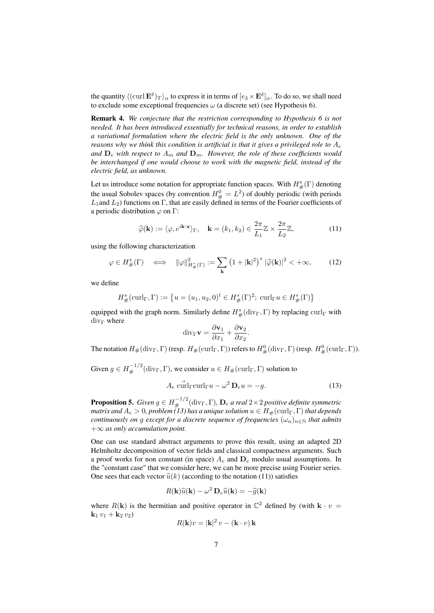the quantity  $\langle ({\rm curl}\, {\bf E}^\delta)_T\rangle_\alpha$  to express it in terms of  $[e_3\times{\bf E}^\delta]_\alpha.$  To do so, we shall need to exclude some exceptional frequencies  $\omega$  (a discrete set) (see Hypothesis 6).

Remark 4. *We conjecture that the restriction corresponding to Hypothesis 6 is not needed. It has been introduced essentially for technical reasons, in order to establish a variational formulation where the electric field is the only unknown. One of the reasons why we think this condition is artificial is that it gives a privileged role to*  $A_e$ and  $D_e$  with respect to  $A_m$  and  $D_m$ . However, the role of these coefficients would *be interchanged if one would choose to work with the magnetic field, instead of the electric field, as unknown.*

Let us introduce some notation for appropriate function spaces. With  $H^s_{\#}(\Gamma)$  denoting the usual Sobolev spaces (by convention  $H^0_{\#} = L^2$ ) of doubly periodic (with periods  $L_1$ and  $L_2$ ) functions on Γ, that are easily defined in terms of the Fourier coefficients of a periodic distribution  $\varphi$  on  $\Gamma$ :

$$
\widehat{\varphi}(\mathbf{k}) := \langle \varphi, e^{i\mathbf{k} \cdot \mathbf{x}} \rangle_{\Gamma}, \quad \mathbf{k} = (k_1, k_2) \in \frac{2\pi}{L_1} \mathbb{Z} \times \frac{2\pi}{L_2} \mathbb{Z}, \tag{11}
$$

using the following characterization

$$
\varphi \in H^s_{\#}(\Gamma) \quad \Longleftrightarrow \quad \|\varphi\|_{H^s_{\#}(\Gamma)}^2 := \sum_{\mathbf{k}} \left(1 + |\mathbf{k}|^2\right)^s |\widehat{\varphi}(\mathbf{k})|^2 < +\infty, \tag{12}
$$

we define

$$
H^s_{\#}(\operatorname{curl}_{\Gamma}, \Gamma) := \left\{ u = (u_1, u_2, 0)^t \in H^s_{\#}(\Gamma)^2; \: \operatorname{curl}_{\Gamma} u \in H^s_{\#}(\Gamma) \right\}
$$

equipped with the graph norm. Similarly define  $H^s_{\#}(\text{div}_\Gamma, \Gamma)$  by replacing  $\text{curl}_\Gamma$  with  $div_\Gamma$  where

$$
\operatorname{div}_{\Gamma} \mathbf{v} = \frac{\partial \mathbf{v}_1}{\partial x_1} + \frac{\partial \mathbf{v}_2}{\partial x_2}.
$$

The notation  $H_\#(\mathrm{div}_\Gamma,\Gamma)$  (resp.  $H_\#(\mathrm{curl}_\Gamma,\Gamma)$ ) refers to  $H^0_\#(\mathrm{div}_\Gamma,\Gamma)$  (resp.  $H^0_\#(\mathrm{curl}_\Gamma,\Gamma)$ ).

Given  $g \in H_{\#}^{-1/2}(\text{div}_{\Gamma}, \Gamma)$ , we consider  $u \in H_{\#}(\text{curl}_{\Gamma}, \Gamma)$  solution to

$$
A_e \,\widetilde{\text{curl}}_{\Gamma}\text{curl}_{\Gamma}u - \omega^2 \,\mathbf{D}_e u = -g. \tag{13}
$$

**Proposition 5.** *Given*  $g \in H_{\#}^{-1/2}(\text{div}_\Gamma, \Gamma)$ *,*  $\mathbf{D}_e$  *a real*  $2 \times 2$  *positive definite symmetric matrix and*  $A_e > 0$ , problem (13) has a unique solution  $u \in H_{\#}(\operatorname{curl}_\Gamma, \Gamma)$  that depends *continuously on g except for a discrete sequence of frequencies*  $(\omega_n)_{n\in\mathbb{N}}$  *that admits* +∞ *as only accumulation point.*

One can use standard abstract arguments to prove this result, using an adapted 2D Helmholtz decomposition of vector fields and classical compactness arguments. Such a proof works for non constant (in space)  $A_e$  and  $D_e$  modulo usual assumptions. In the "constant case" that we consider here, we can be more precise using Fourier series. One sees that each vector  $\hat{u}(k)$  (according to the notation (11)) satisfies

$$
R(\mathbf{k})\widehat{u}(\mathbf{k}) - \omega^2 \mathbf{D}_e \widehat{u}(\mathbf{k}) = -\widehat{g}(\mathbf{k})
$$

where  $R(\mathbf{k})$  is the hermitian and positive operator in  $\mathbb{C}^2$  defined by (with  $\mathbf{k} \cdot v =$  ${\bf k}_1 v_1 + {\bf k}_2 v_2$ 

$$
R(\mathbf{k})v = |\mathbf{k}|^2 v - (\mathbf{k} \cdot v) \mathbf{k}
$$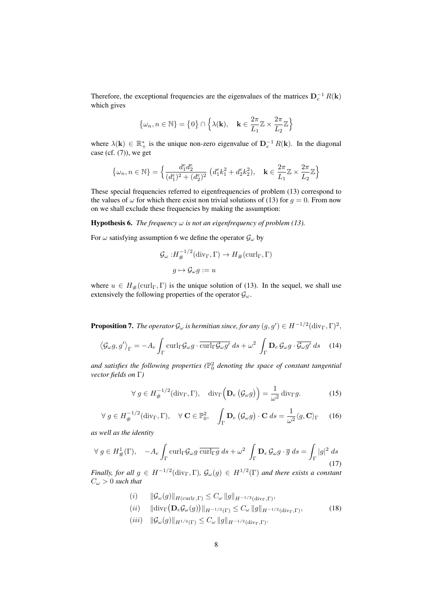Therefore, the exceptional frequencies are the eigenvalues of the matrices  $D_e^{-1} R(k)$ which gives

$$
\left\{\omega_n, n \in \mathbb{N}\right\} = \left\{0\right\} \cap \left\{\lambda(\mathbf{k}), \quad \mathbf{k} \in \frac{2\pi}{L_1}\mathbb{Z} \times \frac{2\pi}{L_2}\mathbb{Z}\right\}
$$

where  $\lambda(\mathbf{k}) \in \mathbb{R}_+^*$  is the unique non-zero eigenvalue of  $\mathbf{D}_e^{-1} R(\mathbf{k})$ . In the diagonal case (cf.  $(7)$ ), we get

$$
\left\{\omega_n, n \in \mathbb{N}\right\} = \Big\{ \frac{d_1^e d_2^e}{(d_1^e)^2 + (d_2^e)^2} \ \left( d_1^e k_1^2 + d_2^e k_2^2 \right), \quad \mathbf{k} \in \frac{2\pi}{L_1}\mathbb{Z} \times \frac{2\pi}{L_2}\mathbb{Z} \Big\}
$$

These special frequencies referred to eigenfrequencies of problem (13) correspond to the values of  $\omega$  for which there exist non trivial solutions of (13) for  $q = 0$ . From now on we shall exclude these frequencies by making the assumption:

**Hypothesis 6.** *The frequency*  $\omega$  *is not an eigenfrequency of problem (13).* 

For  $\omega$  satisfying assumption 6 we define the operator  $\mathcal{G}_{\omega}$  by

$$
\mathcal{G}_{\omega}: H_{\#}^{-1/2}(\text{div}_{\Gamma}, \Gamma) \to H_{\#}(\text{curl}_{\Gamma}, \Gamma)
$$

$$
g \mapsto \mathcal{G}_{\omega}g := u
$$

where  $u \in H_{\#}(\operatorname{curl}_{\Gamma}, \Gamma)$  is the unique solution of (13). In the sequel, we shall use extensively the following properties of the operator  $\mathcal{G}_{\omega}$ .

**Proposition 7.** The operator  $\mathcal{G}_{\omega}$  is hermitian since, for any  $(g, g') \in H^{-1/2}(\text{div}_{\Gamma}, \Gamma)^2$ ,

$$
\langle \mathcal{G}_{\omega} g, g' \rangle_{\Gamma} = -A_e \int_{\Gamma} \operatorname{curl}_{\Gamma} \mathcal{G}_{\omega} g \cdot \overline{\operatorname{curl}_{\Gamma} \mathcal{G}_{\omega} g'} ds + \omega^2 \int_{\Gamma} \mathbf{D}_e \, \mathcal{G}_{\omega} g \cdot \overline{\mathcal{G}_{\omega} g'} ds \tag{14}
$$

and satisfies the following properties ( $\mathbb{P}^2_0$  denoting the space of constant tangential *vector fields on* Γ*)*

$$
\forall g \in H_{\#}^{-1/2}(\text{div}_{\Gamma}, \Gamma), \quad \text{div}_{\Gamma}\Big(\mathbf{D}_e\left(\mathcal{G}_{\omega}g\right)\Big) = \frac{1}{\omega^2} \text{div}_{\Gamma}g. \tag{15}
$$

$$
\forall g \in H_{\#}^{-1/2}(\text{div}_{\Gamma}, \Gamma), \quad \forall \mathbf{C} \in \mathbb{P}_{0}^{2}, \quad \int_{\Gamma} \mathbf{D}_{e} \left( \mathcal{G}_{\omega} g \right) \cdot \mathbf{C} \, ds = \frac{1}{\omega^{2}} \langle g, \mathbf{C} \rangle_{\Gamma} \tag{16}
$$

*as well as the identity*

$$
\forall g \in H^1_{\#}(\Gamma), \quad -A_e \int_{\Gamma} \operatorname{curl}_{\Gamma} \mathcal{G}_{\omega} g \overline{\operatorname{curl}_{\Gamma} g} \, ds + \omega^2 \int_{\Gamma} \mathbf{D}_e \, \mathcal{G}_{\omega} g \cdot \overline{g} \, ds = \int_{\Gamma} |g|^2 \, ds \tag{17}
$$

*Finally, for all*  $g \in H^{-1/2}(\text{div}_\Gamma, \Gamma)$ ,  $\mathcal{G}_{\omega}(g) \in H^{1/2}(\Gamma)$  and there exists a constant  $C_{\omega} > 0$  *such that* 

- (i)  $\|\mathcal{G}_{\omega}(g)\|_{H(\mathrm{curl}_{\Gamma},\Gamma)} \leq C_{\omega} \|g\|_{H^{-1/2}(\mathrm{div}_{\Gamma},\Gamma)},$
- $(ii) \quad \|\text{div}_{\Gamma}(\mathbf{D}_e\mathcal{G}_{\omega}(g))\|_{H^{-1/2}(\Gamma)} \leq C_{\omega} \|g\|_{H^{-1/2}(\text{div}_{\Gamma},\Gamma)},$ (18)
- $(iii) \|G_{\omega}(g)\|_{H^{1/2}(\Gamma)} \leq C_{\omega} \|g\|_{H^{-1/2}(\text{div}_{\Gamma},\Gamma)}.$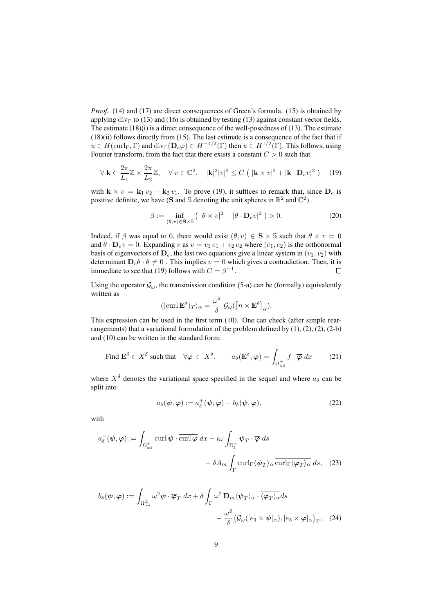*Proof.* (14) and (17) are direct consequences of Green's formula. (15) is obtained by applying div<sub>Γ</sub> to (13) and (16) is obtained by testing (13) against constant vector fields. The estimate  $(18)(i)$  is a direct consequence of the well-posedness of  $(13)$ . The estimate (18)(ii) follows directly from (15). The last estimate is a consequence of the fact that if  $u \in H(\mathrm{curl}_\Gamma, \Gamma)$  and  $\mathrm{div}_\Gamma(\mathbf{D}_e \varphi) \in H^{-1/2}(\Gamma)$  then  $u \in H^{1/2}(\Gamma)$ . This follows, using Fourier transform, from the fact that there exists a constant  $C > 0$  such that

$$
\forall \mathbf{k} \in \frac{2\pi}{L_1} \mathbb{Z} \times \frac{2\pi}{L_2} \mathbb{Z}, \quad \forall \ v \in \mathbb{C}^2, \quad |\mathbf{k}|^2 |v|^2 \le C \left( |\mathbf{k} \times v|^2 + |\mathbf{k} \cdot \mathbf{D}_e v|^2 \right) \tag{19}
$$

with  $\mathbf{k} \times v = \mathbf{k}_1 v_2 - \mathbf{k}_2 v_1$ . To prove (19), it suffices to remark that, since  $\mathbf{D}_e$  is positive definite, we have (S and S denoting the unit spheres in  $\mathbb{R}^2$  and  $\mathbb{C}^2$ )

$$
\beta := \inf_{(\theta, v) \in \mathbf{S} \times \mathbb{S}} \left( \|\theta \times v\|^2 + |\theta \cdot \mathbf{D}_e v|^2 \right) > 0. \tag{20}
$$

Indeed, if  $\beta$  was equal to 0, there would exist  $(\theta, v) \in \mathbf{S} \times \mathbb{S}$  such that  $\theta \times v = 0$ and  $\theta \cdot \mathbf{D}_e v = 0$ . Expanding v as  $v = v_1 e_1 + v_2 e_2$  where  $(e_1, e_2)$  is the orthonormal basis of eigenvectors of  $D_e$ , the last two equations give a linear system in  $(v_1, v_2)$  with determinant  $D_e \theta \cdot \theta \neq 0$ . This implies  $v = 0$  which gives a contradiction. Then, it is immediate to see that (19) follows with  $C = \beta^{-1}$ .  $\Box$ 

Using the operator  $\mathcal{G}_{\omega}$ , the transmission condition (5-a) can be (formally) equivalently written as

$$
\langle (\text{curl } \mathbf{E}^{\delta})_T \rangle_{\alpha} = \frac{\omega^2}{\delta} \mathcal{G}_{\omega} (\left[ n \times \mathbf{E}^{\delta} \right]_{\alpha}).
$$

This expression can be used in the first term (10). One can check (after simple rearrangements) that a variational formulation of the problem defined by  $(1)$ ,  $(2)$ ,  $(2)$ ,  $(2-b)$ and (10) can be written in the standard form:

Find 
$$
\mathbf{E}^{\delta} \in X^{\delta}
$$
 such that  $\forall \varphi \in X^{\delta}$ ,  $a_{\delta}(\mathbf{E}^{\delta}, \varphi) = \int_{\Omega_{\alpha\delta}^{\pm}} f \cdot \overline{\varphi} \, dx$  (21)

where  $X^{\delta}$  denotes the variational space specified in the sequel and where  $a_{\delta}$  can be split into

$$
a_{\delta}(\boldsymbol{\psi}, \boldsymbol{\varphi}) := a_{\delta}^{+}(\boldsymbol{\psi}, \boldsymbol{\varphi}) - b_{\delta}(\boldsymbol{\psi}, \boldsymbol{\varphi}), \qquad (22)
$$

with

$$
a_{\delta}^{+}(\psi,\varphi) := \int_{\Omega_{\alpha\delta}^{\pm}} \operatorname{curl} \psi \cdot \overline{\operatorname{curl} \varphi} \, dx - i\omega \int_{\Sigma_{3}^{\pm}} \psi_{T} \cdot \overline{\varphi} \, ds
$$

$$
- \delta A_{m} \int_{\Gamma} \operatorname{curl}_{\Gamma} \langle \psi_{T} \rangle_{\alpha} \overline{\operatorname{curl}_{\Gamma} \langle \varphi_{T} \rangle_{\alpha}} \, ds, \quad (23)
$$

$$
b_{\delta}(\psi, \varphi) := \int_{\Omega_{\alpha\delta}^{\pm}} \omega^2 \psi \cdot \overline{\varphi}_T dx + \delta \int_{\Gamma} \omega^2 \mathbf{D}_m \langle \psi_T \rangle_{\alpha} \cdot \overline{\langle \varphi_T \rangle_{\alpha}} ds - \frac{\omega^2}{\delta} \langle \mathcal{G}_{\omega}([e_3 \times \psi]_{\alpha}), [e_3 \times \varphi]_{\alpha} \rangle_{\Gamma}, \quad (24)
$$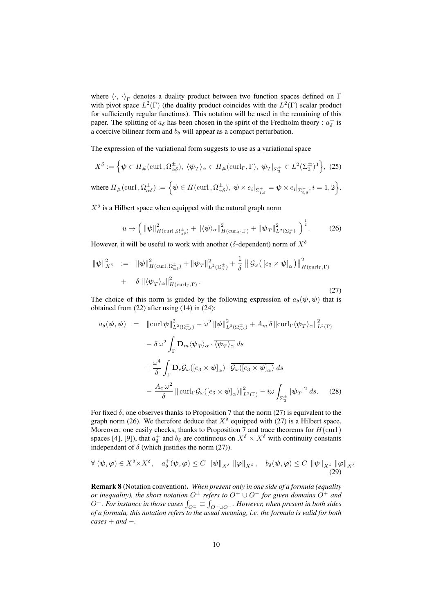where  $\langle \cdot, \cdot \rangle_{\Gamma}$  denotes a duality product between two function spaces defined on  $\Gamma$ with pivot space  $L^2(\Gamma)$  (the duality product coincides with the  $L^2(\Gamma)$  scalar product for sufficiently regular functions). This notation will be used in the remaining of this paper. The splitting of  $a_{\delta}$  has been chosen in the spirit of the Fredholm theory :  $a_{\delta}^{+}$  is a coercive bilinear form and  $b_{\delta}$  will appear as a compact perturbation.

The expression of the variational form suggests to use as a variational space

$$
X^{\delta} := \left\{ \psi \in H_{\#}(\text{curl}, \Omega_{\alpha\delta}^{\pm}), \ \langle \psi_T \rangle_{\alpha} \in H_{\#}(\text{curl}_{\Gamma}, \Gamma), \ \psi_T |_{\Sigma_3^{\pm}} \in L^2(\Sigma_3^{\pm})^3 \right\}, \ (25)
$$

where  $H_{\#}(\text{curl\,}, \Omega_{\alpha\delta}^{\pm}):=\Big\{\pmb{\psi}\in H(\text{curl\,}, \Omega_{\alpha\delta}^{\pm}),~\pmb{\psi}\times e_i|_{\Sigma_{i,\delta}^{\pm}}=\pmb{\psi}\times e_i|_{\Sigma_{i,\delta}^{-}}, i=1,2\Big\}.$ 

 $X^{\delta}$  is a Hilbert space when equipped with the natural graph norm

$$
u \mapsto \left(\|\psi\|_{H(\operatorname{curl},\Omega_{\alpha\delta}^{\pm})}^{2} + \| \langle \psi \rangle_{\alpha} \|_{H(\operatorname{curl}_{\Gamma},\Gamma)}^{2} + \| \psi_{T} \|_{L^{2}(\Sigma_{3}^{\pm})}^{2}\right)^{\frac{1}{2}}.
$$
 (26)

However, it will be useful to work with another ( $\delta$ -dependent) norm of  $X^{\delta}$ 

$$
\|\psi\|_{X^{\delta}}^2 := \|\psi\|_{H(\operatorname{curl},\Omega_{\alpha\delta}^{\pm})}^2 + \|\psi_T\|_{L^2(\Sigma_3^{\pm})}^2 + \frac{1}{\delta} \|\mathcal{G}_{\omega}([\varepsilon_3 \times \psi]_{\alpha})\|_{H(\operatorname{curl}_{\Gamma},\Gamma)}^2 + \delta \|\langle \psi_T \rangle_{\alpha}\|_{H(\operatorname{curl}_{\Gamma},\Gamma)}^2.
$$
\n(27)

The choice of this norm is guided by the following expression of  $a_{\delta}(\psi, \psi)$  that is obtained from (22) after using (14) in (24):

$$
a_{\delta}(\psi, \psi) = \|\operatorname{curl} \psi\|_{L^{2}(\Omega_{\alpha\delta}^{\pm})}^{2} - \omega^{2} \|\psi\|_{L^{2}(\Omega_{\alpha\delta}^{\pm})}^{2} + A_{m} \delta \|\operatorname{curl}_{\Gamma} \langle \psi_{T} \rangle_{\alpha}\|_{L^{2}(\Gamma)}^{2}
$$

$$
- \delta \omega^{2} \int_{\Gamma} \mathbf{D}_{m} \langle \psi_{T} \rangle_{\alpha} \cdot \overline{\langle \psi_{T} \rangle_{\alpha}} ds
$$

$$
+ \frac{\omega^{4}}{\delta} \int_{\Gamma} \mathbf{D}_{e} \mathcal{G}_{\omega} ([e_{3} \times \psi]_{\alpha}) \cdot \overline{\mathcal{G}_{\omega} ([e_{3} \times \psi]_{\alpha})} ds
$$

$$
- \frac{A_{e} \omega^{2}}{\delta} \|\operatorname{curl}_{\Gamma} \mathcal{G}_{\omega} ([e_{3} \times \psi]_{\alpha})\|_{L^{2}(\Gamma)}^{2} - i\omega \int_{\Sigma_{3}^{\pm}} |\psi_{T}|^{2} ds. \quad (28)
$$

For fixed  $\delta$ , one observes thanks to Proposition 7 that the norm (27) is equivalent to the graph norm (26). We therefore deduce that  $X^{\delta}$  equipped with (27) is a Hilbert space. Moreover, one easily checks, thanks to Proposition 7 and trace theorems for  $H(\text{curl})$ spaces [4], [9]), that  $a_{\delta}^+$  and  $b_{\delta}$  are continuous on  $X^{\delta} \times X^{\delta}$  with continuity constants independent of  $\delta$  (which justifies the norm (27)).

$$
\forall (\psi, \varphi) \in X^{\delta} \times X^{\delta}, \quad a_{\delta}^{+}(\psi, \varphi) \leq C \|\psi\|_{X^{\delta}} \|\varphi\|_{X^{\delta}}, \quad b_{\delta}(\psi, \varphi) \leq C \|\psi\|_{X^{\delta}} \|\varphi\|_{X^{\delta}}
$$
\n(29)

Remark 8 (Notation convention). *When present only in one side of a formula (equality or inequality), the short notation*  $O^{\pm}$  *refers to*  $O^+ \cup O^-$  *for given domains*  $O^+$  *and*  $O^-$ *. For instance in those cases*  $\int_{O^{\pm}} \equiv \int_{O^+ \cup O^-}$ *. However, when present in both sides of a formula, this notation refers to the usual meaning, i.e. the formula is valid for both cases* + *and* −*.*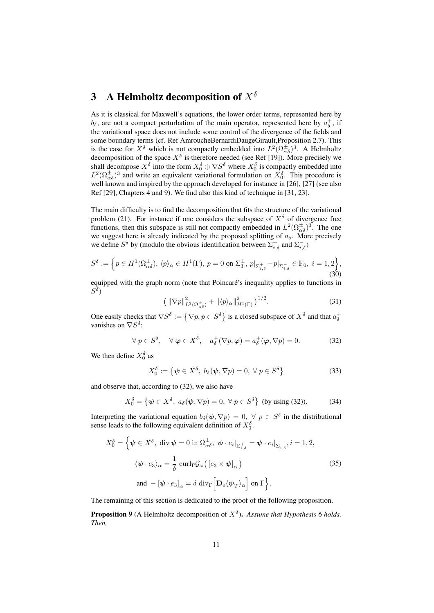# 3 A Helmholtz decomposition of  $X^{\delta}$

As it is classical for Maxwell's equations, the lower order terms, represented here by  $b_{\delta}$ , are not a compact perturbation of the main operator, represented here by  $a_{\delta}^{+}$ , if the variational space does not include some control of the divergence of the fields and some boundary terms (cf. Ref AmroucheBernardiDaugeGirault,Proposition 2.7). This is the case for  $X^{\delta}$  which is not compactly embedded into  $L^2(\Omega_{\alpha\delta}^{\pm})^3$ . A Helmholtz decomposition of the space  $X^{\delta}$  is therefore needed (see Ref [19]). More precisely we shall decompose  $X^{\delta}$  into the form  $X_0^{\delta} \oplus \nabla S^{\delta}$  where  $X_0^{\delta}$  is compactly embedded into  $L^2(\Omega_{\alpha\delta}^{\pm})^3$  and write an equivalent variational formulation on  $X_0^{\delta}$ . This procedure is well known and inspired by the approach developed for instance in [26], [27] (see also Ref [29], Chapters 4 and 9). We find also this kind of technique in [31, 23].

The main difficulty is to find the decomposition that fits the structure of the variational problem (21). For instance if one considers the subspace of  $X^{\delta}$  of divergence free functions, then this subspace is still not compactly embedded in  $L^2(\Omega_{\alpha\delta}^{\pm})^3$ . The one we suggest here is already indicated by the proposed splitting of  $a_{\delta}$ . More precisely we define  $S^{\delta}$  by (modulo the obvious identification between  $\Sigma_{i,\delta}^{+}$  and  $\Sigma_{i,\delta}^{-}$ )

$$
S^{\delta} := \left\{ p \in H^{1}(\Omega_{\alpha\delta}^{\pm}), \, \langle p \rangle_{\alpha} \in H^{1}(\Gamma), \, p = 0 \text{ on } \Sigma_{3}^{\pm}, \, p|_{\Sigma_{i,\delta}^{+}} - p|_{\Sigma_{i,\delta}^{-}} \in \mathbb{P}_{0}, \, i = 1, 2 \right\},\tag{30}
$$

equipped with the graph norm (note that Poincaré's inequality applies to functions in  $S^\delta)$ 

$$
\left(\left\|\nabla p\right\|_{L^2(\Omega_{\alpha\delta}^{\pm})}^2 + \left\|\langle p\rangle_{\alpha}\right\|_{H^1(\Gamma)}^2\right)^{1/2}.\tag{31}
$$

One easily checks that  $\nabla S^{\delta} := \{ \nabla p, p \in S^{\delta} \}$  is a closed subspace of  $X^{\delta}$  and that  $a_{\delta}^+$ vanishes on  $\nabla S^{\delta}$ :

$$
\forall p \in S^{\delta}, \quad \forall \varphi \in X^{\delta}, \quad a_{\delta}^{+}(\nabla p, \varphi) = a_{\delta}^{+}(\varphi, \nabla p) = 0. \tag{32}
$$

We then define  $X_0^{\delta}$  as

$$
X_0^\delta := \{ \psi \in X^\delta, \ b_\delta(\psi, \nabla p) = 0, \ \forall \ p \in S^\delta \}
$$
 (33)

and observe that, according to (32), we also have

$$
X_0^\delta = \left\{ \psi \in X^\delta, \ a_\delta(\psi, \nabla p) = 0, \ \forall \ p \in S^\delta \right\} \text{ (by using (32))}.\tag{34}
$$

Interpreting the variational equation  $b_\delta(\psi, \nabla p) = 0$ ,  $\forall p \in S^\delta$  in the distributional sense leads to the following equivalent definition of  $X_0^{\delta}$ .

$$
X_0^{\delta} = \left\{ \psi \in X^{\delta}, \text{ div } \psi = 0 \text{ in } \Omega_{\alpha\delta}^{\pm}, \ \psi \cdot e_i|_{\Sigma_{i,\delta}^{\pm}} = \psi \cdot e_i|_{\Sigma_{i,\delta}^{-}}, i = 1, 2, \langle \psi \cdot e_3 \rangle_{\alpha} = \frac{1}{\delta} \operatorname{curl}_{\Gamma} \mathcal{G}_{\omega} ( [e_3 \times \psi]_{\alpha} ) \right\}
$$
\n
$$
\text{and } -[\psi \cdot e_3]_{\alpha} = \delta \operatorname{div}_{\Gamma} \left[ \mathbf{D}_e \langle \psi_T \rangle_{\alpha} \right] \text{ on } \Gamma \right\}.
$$
\n(35)

The remaining of this section is dedicated to the proof of the following proposition.

**Proposition 9** (A Helmholtz decomposition of  $X^{\delta}$ ). Assume that Hypothesis 6 holds. *Then,*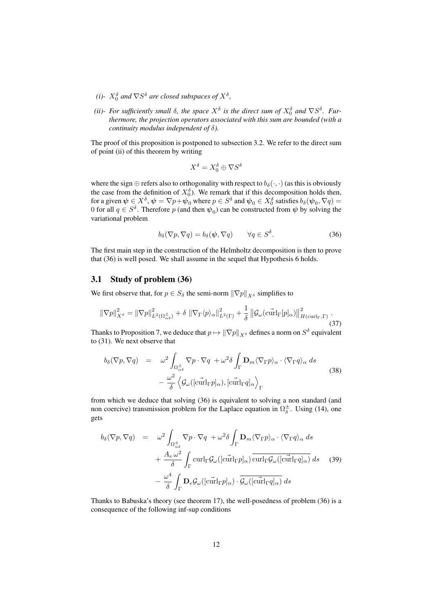- *(i)*  $X_0^{\delta}$  and  $\nabla S^{\delta}$  are closed subspaces of  $X^{\delta}$ ,
- (*ii*)- For sufficiently small  $\delta$ , the space  $X^{\delta}$  is the direct sum of  $X_0^{\delta}$  and  $\nabla S^{\delta}$ . Fur*thermore, the projection operators associated with this sum are bounded (with a continuity modulus independent of* δ*).*

The proof of this proposition is postponed to subsection 3.2. We refer to the direct sum of point (ii) of this theorem by writing

$$
X^{\delta} = X_0^{\delta} \oplus \nabla S^{\delta}
$$

where the sign  $\oplus$  refers also to orthogonality with respect to  $b_{\delta}(\cdot, \cdot)$  (as this is obviously the case from the definition of  $X_0^{\delta}$ ). We remark that if this decomposition holds then, for a given  $\psi\in X^\delta, \psi=\nabla p+\psi_0$  where  $p\in S^\delta$  and  $\psi_0\in X^\delta_0$  satisfies  $b_\delta(\psi_0,\nabla q)=$ 0 for all  $q \in S^{\delta}$ . Therefore p (and then  $\psi_0$ ) can be constructed from  $\psi$  by solving the variational problem

$$
b_{\delta}(\nabla p, \nabla q) = b_{\delta}(\psi, \nabla q) \qquad \forall q \in S^{\delta}.
$$
 (36)

The first main step in the construction of the Helmholtz decomposition is then to prove that (36) is well posed. We shall assume in the sequel that Hypothesis 6 holds.

#### 3.1 Study of problem (36)

We first observe that, for  $p \in S_\delta$  the semi-norm  $\|\nabla p\|_{X^\delta}$  simplifies to

$$
\left\|\nabla p\right\|_{X^{\delta}}^2 = \left\|\nabla p\right\|_{L^2(\Omega_{\alpha\delta}^{\pm})}^2 + \delta \left\|\nabla_{\Gamma}\langle p\rangle_{\alpha}\right\|_{L^2(\Gamma)}^2 + \frac{1}{\delta}\left\|\mathcal{G}_{\omega}(\mathbf{curl}_{\Gamma}[p]_{\alpha})\right\|_{H(\mathbf{curl}_{\Gamma},\Gamma)}^2.
$$
\n(37)

Thanks to Proposition 7, we deduce that  $p \mapsto \|\nabla p\|_{X^\delta}$  defines a norm on  $S^\delta$  equivalent to (31). We next observe that

$$
b_{\delta}(\nabla p, \nabla q) = \omega^2 \int_{\Omega_{\alpha\delta}^{\pm}} \nabla p \cdot \nabla q + \omega^2 \delta \int_{\Gamma} \mathbf{D}_m \langle \nabla_{\Gamma} p \rangle_{\alpha} \cdot \langle \nabla_{\Gamma} q \rangle_{\alpha} ds - \frac{\omega^2}{\delta} \langle \mathcal{G}_{\omega}([\mathbf{curl}_{\Gamma} p]_{\alpha}), [\mathbf{curl}_{\Gamma} q]_{\alpha} \rangle_{\Gamma}
$$
(38)

from which we deduce that solving (36) is equivalent to solving a non standard (and non coercive) transmission problem for the Laplace equation in  $\Omega_{\delta}^{\pm}$ . Using (14), one gets

$$
b_{\delta}(\nabla p, \nabla q) = \omega^2 \int_{\Omega_{\alpha\delta}^{\pm}} \nabla p \cdot \nabla q + \omega^2 \delta \int_{\Gamma} \mathbf{D}_m \langle \nabla_{\Gamma} p \rangle_{\alpha} \cdot \langle \nabla_{\Gamma} q \rangle_{\alpha} ds + \frac{A_e \omega^2}{\delta} \int_{\Gamma} \operatorname{curl}_{\Gamma} \mathcal{G}_{\omega} ([c\vec{\mathrm{url}}_{\Gamma} p]_{\alpha}) \overline{\operatorname{curl}}_{\Gamma} \mathcal{G}_{\omega} ([c\vec{\mathrm{url}}_{\Gamma} q]_{\alpha}) ds \quad (39) - \frac{\omega^4}{\delta} \int_{\Gamma} \mathbf{D}_e \mathcal{G}_{\omega} ([c\vec{\mathrm{url}}_{\Gamma} p]_{\alpha}) \cdot \overline{\mathcal{G}_{\omega} ([c\vec{\mathrm{url}}_{\Gamma} q]_{\alpha})} ds
$$

Thanks to Babuska's theory (see theorem 17), the well-posedness of problem (36) is a consequence of the following inf-sup conditions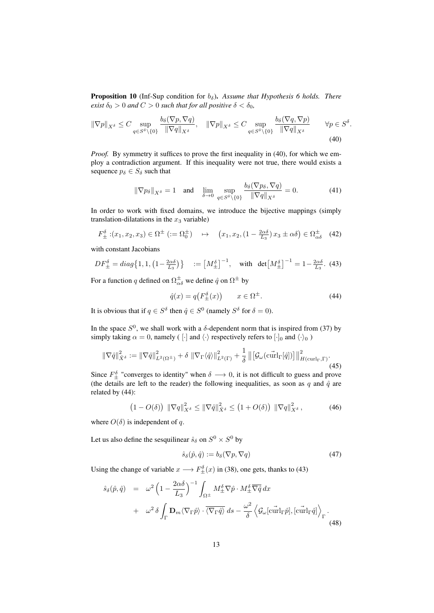**Proposition 10** (Inf-Sup condition for  $b_{\delta}$ ). Assume that Hypothesis 6 holds. There *exist*  $\delta_0 > 0$  *and*  $C > 0$  *such that for all positive*  $\delta < \delta_0$ *,* 

$$
\|\nabla p\|_{X^{\delta}} \le C \sup_{q \in S^{\delta} \setminus \{0\}} \frac{b_{\delta}(\nabla p, \nabla q)}{\|\nabla q\|_{X^{\delta}}}, \quad \|\nabla p\|_{X^{\delta}} \le C \sup_{q \in S^{\delta} \setminus \{0\}} \frac{b_{\delta}(\nabla q, \nabla p)}{\|\nabla q\|_{X^{\delta}}} \qquad \forall p \in S^{\delta}
$$
\n(40)

*Proof.* By symmetry it suffices to prove the first inequality in (40), for which we employ a contradiction argument. If this inequality were not true, there would exists a sequence  $p_{\delta} \in S_{\delta}$  such that

$$
\|\nabla p_{\delta}\|_{X^{\delta}} = 1 \quad \text{and} \quad \lim_{\delta \to 0} \sup_{q \in S^{\delta} \setminus \{0\}} \frac{b_{\delta}(\nabla p_{\delta}, \nabla q)}{\|\nabla q\|_{X^{\delta}}} = 0. \tag{41}
$$

.

In order to work with fixed domains, we introduce the bijective mappings (simply translation-dilatations in the  $x_3$  variable)

$$
F_{\pm}^{\delta}:(x_1, x_2, x_3) \in \Omega^{\pm} \ (:= \Omega_0^{\pm}) \quad \mapsto \quad \left(x_1, x_2, \left(1 - \frac{2\alpha\delta}{L_3}\right)x_3 \pm \alpha\delta\right) \in \Omega_{\alpha\delta}^{\pm} \tag{42}
$$

with constant Jacobians

$$
DF_{\pm}^{\delta} = diag\left\{1, 1, \left(1 - \frac{2\alpha\delta}{L_3}\right)\right\} \quad := \left[M_{\pm}^{\delta}\right]^{-1}, \quad \text{with} \quad det\left[M_{\pm}^{\delta}\right]^{-1} = 1 - \frac{2\alpha\delta}{L_3}.\tag{43}
$$

For a function q defined on  $\Omega_{\alpha\delta}^{\pm}$  we define  $\hat{q}$  on  $\Omega^{\pm}$  by

$$
\hat{q}(x) = q(F_{\pm}^{\delta}(x)) \qquad x \in \Omega^{\pm}.
$$
\n(44)

It is obvious that if  $q \in S^{\delta}$  then  $\hat{q} \in S^0$  (namely  $S^{\delta}$  for  $\delta = 0$ ).

In the space  $S^0$ , we shall work with a  $\delta$ -dependent norm that is inspired from (37) by simply taking  $\alpha = 0$ , namely ( [·] and  $\langle \cdot \rangle$  respectively refers to [·]<sub>0</sub> and  $\langle \cdot \rangle_0$  )

$$
\|\nabla \hat{q}\|_{\hat{X}^{\delta}}^2 := \|\nabla \hat{q}\|_{L^2(\Omega^\pm)}^2 + \delta \|\nabla_{\Gamma} \langle \hat{q} \rangle\|_{L^2(\Gamma)}^2 + \frac{1}{\delta} \left\| \left[ \mathcal{G}_{\omega}(\mathbf{curl}_{\Gamma}[\hat{q}]) \right] \right\|_{H(\mathbf{curl}_{\Gamma},\Gamma)}^2.
$$
\n(45)

Since  $F_{\pm}^{\delta}$  "converges to identity" when  $\delta \longrightarrow 0$ , it is not difficult to guess and prove (the details are left to the reader) the following inequalities, as soon as q and  $\hat{q}$  are related by (44):

$$
(1 - O(\delta)) \| \nabla q \|_{X^{\delta}}^2 \le \| \nabla \hat{q} \|_{\hat{X}^{\delta}}^2 \le (1 + O(\delta)) \| \nabla q \|_{X^{\delta}}^2, \qquad (46)
$$

where  $O(\delta)$  is independent of q.

Let us also define the sesquilinear  $\hat{s}_\delta$  on  $S^0 \times S^0$  by

$$
\hat{s}_{\delta}(\hat{p}, \hat{q}) := b_{\delta}(\nabla p, \nabla q) \tag{47}
$$

Using the change of variable  $x \longrightarrow F_{\pm}^{\delta}(x)$  in (38), one gets, thanks to (43)

$$
\hat{s}_{\delta}(\hat{p}, \hat{q}) = \omega^2 \left( 1 - \frac{2\alpha \delta}{L_3} \right)^{-1} \int_{\Omega^{\pm}} M_{\pm}^{\delta} \nabla \hat{p} \cdot M_{\pm}^{\delta} \overline{\nabla \hat{q}} dx \n+ \omega^2 \delta \int_{\Gamma} \mathbf{D}_m \langle \nabla_{\Gamma} \hat{p} \rangle \cdot \overline{\langle \nabla_{\Gamma} \hat{q} \rangle} ds - \frac{\omega^2}{\delta} \left\langle \mathcal{G}_{\omega}[\text{curl}_{\Gamma} \hat{p}], [\text{curl}_{\Gamma} \hat{q}] \right\rangle_{\Gamma}.
$$
\n(48)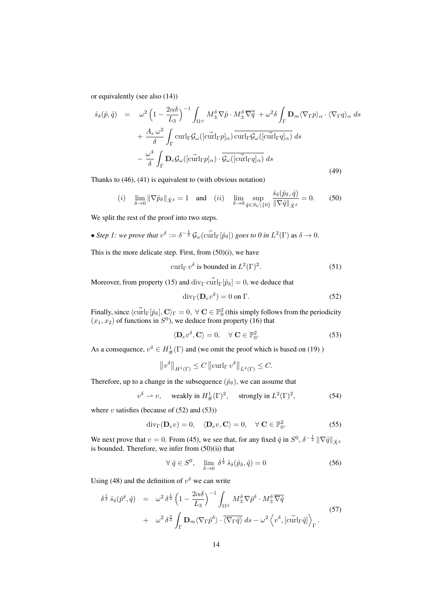or equivalently (see also (14))

$$
\hat{s}_{\delta}(\hat{p}, \hat{q}) = \omega^2 \left(1 - \frac{2\alpha\delta}{L_3}\right)^{-1} \int_{\Omega^\pm} M_\pm^{\delta} \nabla \hat{p} \cdot M_\pm^{\delta} \overline{\nabla \hat{q}} + \omega^2 \delta \int_{\Gamma} \mathbf{D}_m \langle \nabla_{\Gamma} p \rangle_\alpha \cdot \langle \nabla_{\Gamma} q \rangle_\alpha \, ds \n+ \frac{A_e \omega^2}{\delta} \int_{\Gamma} \text{curl}_{\Gamma} \mathcal{G}_\omega([\text{curl}_{\Gamma} p]_\alpha) \overline{\text{curl}_{\Gamma} \mathcal{G}_\omega([\text{curl}_{\Gamma} q]_\alpha)} \, ds \n- \frac{\omega^4}{\delta} \int_{\Gamma} \mathbf{D}_e \mathcal{G}_\omega([\text{curl}_{\Gamma} p]_\alpha) \cdot \overline{\mathcal{G}_\omega([\text{curl}_{\Gamma} q]_\alpha)} \, ds
$$
\n(49)

Thanks to (46), (41) is equivalent to (with obvious notation)

(i) 
$$
\lim_{\delta \to 0} \|\nabla \hat{p}_{\delta}\|_{\hat{X}^{\delta}} = 1
$$
 and (ii)  $\lim_{\delta \to 0} \sup_{\hat{q} \in S_0 \setminus \{0\}} \frac{\hat{s}_{\delta}(\hat{p}_{\delta}, \hat{q})}{\|\nabla \hat{q}\|_{\hat{X}^{\delta}}} = 0.$  (50)

We split the rest of the proof into two steps.

• *Step 1: we prove that*  $v^{\delta} := \delta^{-\frac{1}{2}} \mathcal{G}_{\omega}(\vec{\text{curl}}_{\Gamma}[\hat{p}_{\delta}])$  *goes to 0 in*  $L^2(\Gamma)$  as  $\delta \to 0$ .

This is the more delicate step. First, from (50)(i), we have

$$
\operatorname{curl}_{\Gamma} v^{\delta} \text{ is bounded in } L^{2}(\Gamma)^{2}.
$$
 (51)

Moreover, from property (15) and  $\text{div}_{\Gamma} \tilde{\text{curl}}_{\Gamma}[\hat{p}_{\delta}] = 0$ , we deduce that

$$
\operatorname{div}_{\Gamma}(\mathbf{D}_e v^\delta) = 0 \text{ on } \Gamma. \tag{52}
$$

Finally, since  $\langle \vec{\text{curl}}_\Gamma[\hat{p}_\delta], \mathbf{C} \rangle_\Gamma = 0, \ \forall \ \mathbf{C} \in \mathbb{P}^2_0$  (this simply follows from the periodicity  $(x_1, x_2)$  of functions in  $S^0$ ), we deduce from property (16) that

$$
\langle \mathbf{D}_e v^\delta, \mathbf{C} \rangle = 0, \quad \forall \ \mathbf{C} \in \mathbb{P}_0^2. \tag{53}
$$

As a consequence,  $v^{\delta} \in H^1_{\#}(\Gamma)$  and (we omit the proof which is based on (19))

$$
||v^{\delta}||_{H^{1}(\Gamma)} \leq C ||\operatorname{curl}_{\Gamma} v^{\delta}||_{L^{2}(\Gamma)} \leq C.
$$

Therefore, up to a change in the subsequence  $(\hat{p}_{\delta})$ , we can assume that

$$
v^{\delta} \rightharpoonup v
$$
, weakly in  $H^1_{\#}(\Gamma)^2$ , strongly in  $L^2(\Gamma)^2$ , (54)

where  $v$  satisfies (because of  $(52)$  and  $(53)$ )

$$
\operatorname{div}_{\Gamma}(\mathbf{D}_e v) = 0, \quad \langle \mathbf{D}_e v, \mathbf{C} \rangle = 0, \quad \forall \mathbf{C} \in \mathbb{P}_0^2.
$$
 (55)

We next prove that  $v = 0$ . From (45), we see that, for any fixed  $\hat{q}$  in  $S^0$ ,  $\delta^{-\frac{1}{2}} ||\nabla \hat{q}||_{\hat{X}^{\delta}}$ is bounded. Therefore, we infer from (50)(ii) that

$$
\forall \ \hat{q} \in S^0, \quad \lim_{\delta \to 0} \delta^{\frac{1}{2}} \ \hat{s}_{\delta}(\hat{p}_{\delta}, \hat{q}) = 0 \tag{56}
$$

Using (48) and the definition of  $v^{\delta}$  we can write

$$
\delta^{\frac{1}{2}} \hat{s}_{\delta}(\hat{p}^{\delta}, \hat{q}) = \omega^{2} \delta^{\frac{1}{2}} \left( 1 - \frac{2\alpha\delta}{L_{3}} \right)^{-1} \int_{\Omega^{\pm}} M_{\pm}^{\delta} \nabla \hat{p}^{\delta} \cdot M_{\pm}^{\delta} \overline{\nabla \hat{q}} + \omega^{2} \delta^{\frac{3}{2}} \int_{\Gamma} \mathbf{D}_{m} \langle \nabla_{\Gamma} \hat{p}^{\delta} \rangle \cdot \overline{\langle \nabla_{\Gamma} \hat{q} \rangle} ds - \omega^{2} \left\langle v^{\delta}, \left[ \operatorname{curl}_{\Gamma} \hat{q} \right] \right\rangle_{\Gamma} .
$$
\n(57)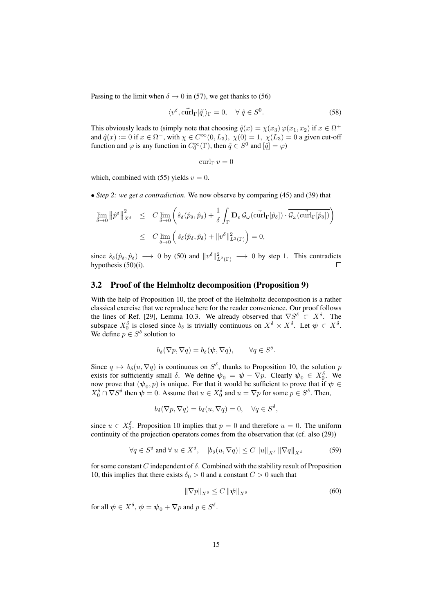Passing to the limit when  $\delta \rightarrow 0$  in (57), we get thanks to (56)

$$
\langle v^{\delta}, \vec{\text{curl}}_{\Gamma}[\hat{q}] \rangle_{\Gamma} = 0, \quad \forall \ \hat{q} \in S^{0}.
$$

This obviously leads to (simply note that choosing  $\hat{q}(x) = \chi(x_3) \varphi(x_1, x_2)$  if  $x \in \Omega^+$ and  $\hat{q}(x) := 0$  if  $x \in \Omega^-$ , with  $\chi \in C^{\infty}(0, L_3)$ ,  $\chi(0) = 1$ ,  $\chi(L_3) = 0$  a given cut-off function and  $\varphi$  is any function in  $C_0^{\infty}(\Gamma)$ , then  $\hat{q} \in S^0$  and  $[\hat{q}] = \varphi$ )

$$
\operatorname{curl}_{\Gamma} v = 0
$$

which, combined with (55) yields  $v = 0$ .

• *Step 2: we get a contradiction*. We now observe by comparing (45) and (39) that

$$
\lim_{\delta \to 0} \left\| \hat{p}^{\delta} \right\|_{\hat{X}^{\delta}}^{2} \leq C \lim_{\delta \to 0} \left( \hat{s}_{\delta}(\hat{p}_{\delta}, \hat{p}_{\delta}) + \frac{1}{\delta} \int_{\Gamma} \mathbf{D}_{e} \mathcal{G}_{\omega}(\tilde{\mathrm{curl}}_{\Gamma}[\hat{p}_{\delta}]) \cdot \overline{\mathcal{G}_{\omega}(\tilde{\mathrm{curl}}_{\Gamma}[\hat{p}_{\delta}])} \right)
$$
  

$$
\leq C \lim_{\delta \to 0} \left( \hat{s}_{\delta}(\hat{p}_{\delta}, \hat{p}_{\delta}) + \|v^{\delta}\|_{L^{2}(\Gamma)}^{2} \right) = 0,
$$

since  $\hat{s}_{\delta}(\hat{p}_{\delta}, \hat{p}_{\delta}) \longrightarrow 0$  by (50) and  $||v^{\delta}||_{L^2(\Gamma)}^2 \longrightarrow 0$  by step 1. This contradicts hypothesis (50)(i).

#### 3.2 Proof of the Helmholtz decomposition (Proposition 9)

With the help of Proposition 10, the proof of the Helmholtz decomposition is a rather classical exercise that we reproduce here for the reader convenience. Our proof follows the lines of Ref. [29], Lemma 10.3. We already observed that  $\nabla S^{\delta} \subset X^{\delta}$ . The subspace  $X_0^{\delta}$  is closed since  $b_{\delta}$  is trivially continuous on  $X^{\delta} \times X^{\delta}$ . Let  $\psi \in X^{\delta}$ . We define  $p \in S^{\delta}$  solution to

$$
b_{\delta}(\nabla p, \nabla q) = b_{\delta}(\boldsymbol{\psi}, \nabla q), \qquad \forall q \in S^{\delta}.
$$

Since  $q \mapsto b_{\delta}(u, \nabla q)$  is continuous on  $S^{\delta}$ , thanks to Proposition 10, the solution p exists for sufficiently small  $\delta$ . We define  $\psi_0 = \psi - \nabla p$ . Clearly  $\psi_0 \in X_0^{\delta}$ . We now prove that  $(\psi_0, p)$  is unique. For that it would be sufficient to prove that if  $\psi \in$  $X_0^{\delta} \cap \nabla S^{\delta}$  then  $\psi = 0$ . Assume that  $u \in X_0^{\delta}$  and  $u = \nabla p$  for some  $p \in S^{\delta}$ . Then,

$$
b_{\delta}(\nabla p, \nabla q) = b_{\delta}(u, \nabla q) = 0, \quad \forall q \in S^{\delta},
$$

since  $u \in X_0^{\delta}$ . Proposition 10 implies that  $p = 0$  and therefore  $u = 0$ . The uniform continuity of the projection operators comes from the observation that (cf. also (29))

$$
\forall q \in S^{\delta} \text{ and } \forall u \in X^{\delta}, \quad |b_{\delta}(u, \nabla q)| \le C ||u||_{X^{\delta}} ||\nabla q||_{X^{\delta}}
$$
(59)

for some constant C independent of  $\delta$ . Combined with the stability result of Proposition 10, this implies that there exists  $\delta_0 > 0$  and a constant  $C > 0$  such that

$$
\|\nabla p\|_{X^{\delta}} \le C \left\|\psi\right\|_{X^{\delta}} \tag{60}
$$

for all  $\psi \in X^{\delta}, \psi = \psi_0 + \nabla p$  and  $p \in S^{\delta}.$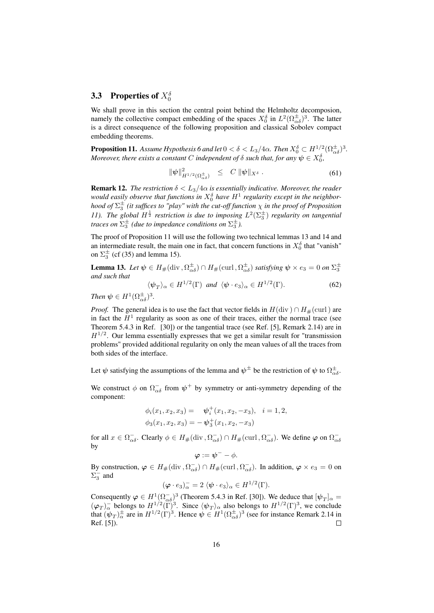# 3.3 Properties of  $X_0^{\delta}$

We shall prove in this section the central point behind the Helmholtz decomposion, namely the collective compact embedding of the spaces  $X_0^{\delta}$  in  $L^2(\Omega_{\alpha\delta}^{\pm})^3$ . The latter is a direct consequence of the following proposition and classical Sobolev compact embedding theorems.

**Proposition 11.** Assume Hypothesis 6 and let  $0 < \delta < L_3/4\alpha$ . Then  $X_0^{\delta} \subset H^{1/2}(\Omega_{\alpha\delta}^{\pm})^3$ . *Moreover, there exists a constant* C independent of  $\delta$  such that, for any  $\psi \in X_0^{\delta}$ ,

$$
\|\psi\|_{H^{1/2}(\Omega_{\alpha\delta}^{\pm})}^2 \leq C \|\psi\|_{X^{\delta}}. \tag{61}
$$

**Remark 12.** *The restriction*  $\delta < L_3/4\alpha$  *is essentially indicative. Moreover, the reader* would easily observe that functions in  $X_0^{\delta}$  have  $H^1$  regularity except in the neighbor*hood of*  $\Sigma_3^\pm$  (it suffices to "play" with the cut-off function  $\chi$  in the proof of Proposition *11*). The global  $H^{\frac{1}{2}}$  restriction is due to imposing  $L^2(\Sigma_3^{\pm})$  regularity on tangential *traces on*  $\Sigma_3^{\pm}$  (due to impedance conditions on  $\Sigma_3^{\pm}$ ).

The proof of Proposition 11 will use the following two technical lemmas 13 and 14 and an intermediate result, the main one in fact, that concern functions in  $X_0^{\delta}$  that "vanish" on  $\Sigma_3^{\pm}$  (cf (35) and lemma 15).

**Lemma 13.** Let  $\psi \in H_{\#}(\text{div}, \Omega_{\alpha\delta}^{\pm}) \cap H_{\#}(\text{curl}, \Omega_{\alpha\delta}^{\pm})$  satisfying  $\psi \times e_3 = 0$  on  $\Sigma_3^{\pm}$ *and such that*

$$
\langle \psi_T \rangle_\alpha \in H^{1/2}(\Gamma) \text{ and } \langle \psi \cdot e_3 \rangle_\alpha \in H^{1/2}(\Gamma). \tag{62}
$$

*Then*  $\psi \in H^1(\Omega_{\alpha\delta}^{\pm})^3$ .

*Proof.* The general idea is to use the fact that vector fields in  $H(\text{div}) \cap H_{\#}(\text{curl})$  are in fact the  $H<sup>1</sup>$  regularity as soon as one of their traces, either the normal trace (see Theorem 5.4.3 in Ref. [30]) or the tangential trace (see Ref. [5], Remark 2.14) are in  $H^{1/2}$ . Our lemma essentially expresses that we get a similar result for "transmission problems" provided additional regularity on only the mean values of all the traces from both sides of the interface.

Let  $\psi$  satisfying the assumptions of the lemma and  $\psi^{\pm}$  be the restriction of  $\psi$  to  $\Omega_{\alpha\delta}^{\pm}$ .

We construct  $\phi$  on  $\Omega_{\alpha\delta}^-$  from  $\psi^+$  by symmetry or anti-symmetry depending of the component:

$$
\phi_i(x_1, x_2, x_3) = \psi_i^+(x_1, x_2, -x_3), \quad i = 1, 2,
$$
  

$$
\phi_3(x_1, x_2, x_3) = -\psi_3^+(x_1, x_2, -x_3)
$$

for all  $x \in \Omega_{\alpha\delta}^-$ . Clearly  $\phi \in H_{\#}(\text{div}, \Omega_{\alpha\delta}^-) \cap H_{\#}(\text{curl}, \Omega_{\alpha\delta}^-)$ . We define  $\varphi$  on  $\Omega_{\alpha\delta}^$ by

$$
\boldsymbol{\varphi}:=\boldsymbol{\psi}^- - \phi.
$$

By construction,  $\varphi \in H_{\#}(\text{div}, \Omega_{\alpha\delta}^-) \cap H_{\#}(\text{curl}, \Omega_{\alpha\delta}^-)$ . In addition,  $\varphi \times e_3 = 0$  on  $\Sigma_3^-$  and

$$
(\varphi \cdot e_3)_{\alpha}^- = 2 \langle \psi \cdot e_3 \rangle_{\alpha} \in H^{1/2}(\Gamma).
$$

Consequently  $\varphi \in H^1(\Omega_{\alpha\delta}^-)^3$  (Theorem 5.4.3 in Ref. [30]). We deduce that  $[\psi_T]_{\alpha} =$  $(\varphi_T)_\alpha^-$  belongs to  $H^{1/2}(\Gamma)^3$ . Since  $\langle \psi_T \rangle_\alpha$  also belongs to  $H^{1/2}(\Gamma)^3$ , we conclude that  $(\psi_T)^{\pm}_{\alpha}$  are in  $H^{1/2}(\Gamma)^3$ . Hence  $\psi \in H^1(\Omega_{\alpha\delta}^{\pm})^3$  (see for instance Remark 2.14 in Ref. [5]).  $\Box$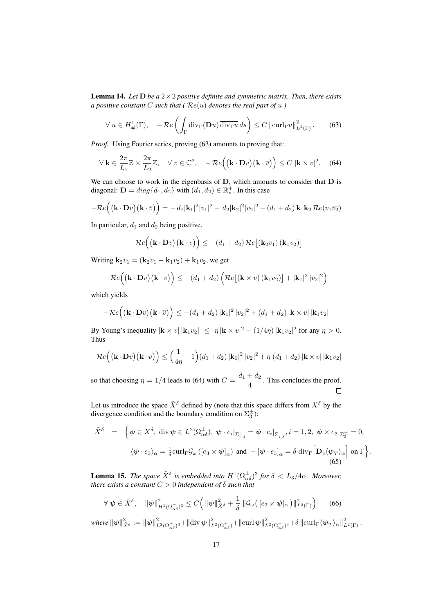**Lemma 14.** Let  $D$  *be a*  $2 \times 2$  *positive definite and symmetric matrix. Then, there exists a positive constant C such that* ( $Re(u)$  *denotes the real part of u* )

$$
\forall u \in H^1_{\#}(\Gamma), \quad -\mathcal{R}e\left(\int_{\Gamma} \text{div}_{\Gamma}(\mathbf{D}u) \overline{\text{div}_{\Gamma}u} ds\right) \le C \left\|\text{curl}_{\Gamma}u\right\|_{L^2(\Gamma)}^2. \tag{63}
$$

*Proof.* Using Fourier series, proving (63) amounts to proving that:

$$
\forall \mathbf{k} \in \frac{2\pi}{L_1} \mathbb{Z} \times \frac{2\pi}{L_2} \mathbb{Z}, \quad \forall \ v \in \mathbb{C}^2, \quad -\mathcal{R}e\Big( (\mathbf{k} \cdot \mathbf{D}v)(\mathbf{k} \cdot \overline{v}) \Big) \le C \ |\mathbf{k} \times v|^2. \tag{64}
$$

We can choose to work in the eigenbasis of  $D$ , which amounts to consider that  $D$  is diagonal:  $\mathbf{D} = diag\{d_1, d_2\}$  with  $(d_1, d_2) \in \mathbb{R}_*^+$ ∗ . In this case

$$
-\mathcal{R}e((\mathbf{k}\cdot\mathbf{D}v)(\mathbf{k}\cdot\overline{v})) = -d_1|\mathbf{k}_1|^2|v_1|^2 - d_2|\mathbf{k}_2|^2|v_2|^2 - (d_1+d_2)\,\mathbf{k}_1\mathbf{k}_2\,\mathcal{R}e(v_1\overline{v_2})
$$

In particular,  $d_1$  and  $d_2$  being positive,

$$
-\mathcal{R}e((\mathbf{k}\cdot\mathbf{D}v)(\mathbf{k}\cdot\overline{v})\big)\leq -(d_1+d_2)\,\mathcal{R}e[(\mathbf{k}_2v_1)(\mathbf{k}_1\overline{v_2})]
$$

Writing  $k_2v_1 = (k_2v_1 - k_1v_2) + k_1v_2$ , we get

$$
-\mathcal{R}e((\mathbf{k}\cdot\mathbf{D}v)(\mathbf{k}\cdot\overline{v})) \leq -(d_1+d_2)\left(\mathcal{R}e[(\mathbf{k}\times v)(\mathbf{k}_1\overline{v_2})] + |\mathbf{k}_1|^2|v_2|^2\right)
$$

which yields

$$
-\mathcal{R}e\left((\mathbf{k}\cdot\mathbf{D}v)(\mathbf{k}\cdot\overline{v})\right)\leq -(d_1+d_2)|\mathbf{k}_1|^2|v_2|^2+(d_1+d_2)|\mathbf{k}\times v||\mathbf{k}_1v_2|
$$

By Young's inequality  $|\mathbf{k} \times v| \, |\mathbf{k}_1 v_2| \leq \eta |\mathbf{k} \times v|^2 + (1/4\eta) |\mathbf{k}_1 v_2|^2$  for any  $\eta > 0$ . Thus

$$
-\mathcal{R}e((\mathbf{k}\cdot\mathbf{D}v)(\mathbf{k}\cdot\overline{v})\big)\leq \Big(\frac{1}{4\eta}-1\Big)(d_1+d_2)\,|\mathbf{k}_1|^2\,|v_2|^2+\eta\,\big(d_1+d_2\big)\,|\mathbf{k}\times v|\,|\mathbf{k}_1v_2|
$$

so that choosing  $\eta = 1/4$  leads to (64) with  $C = \frac{d_1 + d_2}{4}$  $\frac{4}{4}$ . This concludes the proof.  $\Box$ 

Let us introduce the space  $\tilde{X}^{\delta}$  defined by (note that this space differs from  $X^{\delta}$  by the divergence condition and the boundary condition on  $\Sigma_3^{\pm}$ ):

$$
\tilde{X}^{\delta} = \left\{ \psi \in X^{\delta}, \text{ div } \psi \in L^{2}(\Omega_{\alpha\delta}^{\pm}), \ \psi \cdot e_{i}|_{\Sigma_{i,\delta}^{+}} = \psi \cdot e_{i}|_{\Sigma_{i,\delta}^{-}}, i = 1, 2, \ \psi \times e_{3}|_{\Sigma_{3}^{\pm}} = 0, \langle \psi \cdot e_{3} \rangle_{\alpha} = \frac{1}{\delta} \operatorname{curl}_{\Gamma} \mathcal{G}_{\omega} ([e_{3} \times \psi]_{\alpha}) \text{ and } -[\psi \cdot e_{3}]_{\alpha} = \delta \operatorname{div}_{\Gamma} \left[ \mathbf{D}_{e} \langle \psi_{T} \rangle_{\alpha} \right] \text{ on } \Gamma \right\}.
$$
\n(65)

**Lemma 15.** *The space*  $\tilde{X}^{\delta}$  *is embedded into*  $H^1(\Omega_{\alpha\delta}^{\pm})^3$  *for*  $\delta < L_3/4\alpha$ *. Moreover, there exists a constant*  $C > 0$  *independent of*  $\delta$  *such that* 

$$
\forall \ \psi \in \tilde{X}^{\delta}, \quad \|\psi\|_{H^1(\Omega_{\alpha\delta}^{\pm})^3}^2 \le C \Big( \|\psi\|_{\tilde{X}^{\delta}}^2 + \frac{1}{\delta} \|\mathcal{G}_{\omega}\big([e_3 \times \psi]_{\alpha}\big)\|_{L^2(\Gamma)}^2 \Big) \qquad (66)
$$

 $\textit{where } \|\psi\|^2_{\tilde{X}^\delta} := \|\psi\|^2_{L^2(\Omega_{\alpha\delta}^\pm)^3} + \|\textit{div}\, \psi\|^2_{L^2(\Omega_{\alpha\delta}^\pm)} + \|\textit{curl}\, \psi\|^2_{L^2(\Omega_{\alpha\delta}^\pm)^3} + \delta\, \|\textit{curl}_\Gamma \langle \psi_T \rangle_\alpha\|^2_{L^2(\Gamma)}\,.$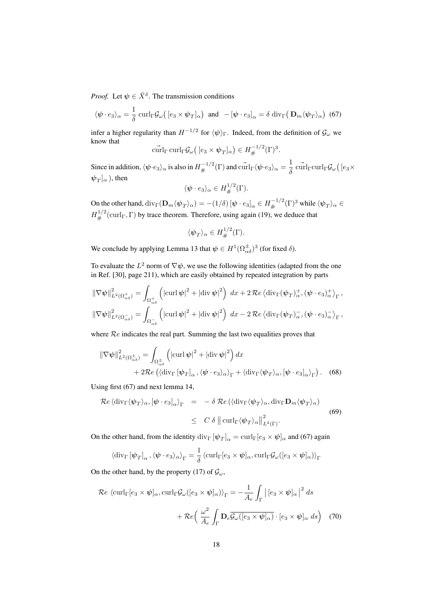*Proof.* Let  $\psi \in \tilde{X}^{\delta}$ . The transmission conditions

$$
\langle \psi \cdot e_3 \rangle_{\alpha} = \frac{1}{\delta} \operatorname{curl}_{\Gamma} \mathcal{G}_{\omega} \big( [e_3 \times \psi_T]_{\alpha} \big) \text{ and } -[\psi \cdot e_3]_{\alpha} = \delta \operatorname{div}_{\Gamma} \big( \mathbf{D}_m \langle \psi_T \rangle_{\alpha} \big) \tag{67}
$$

infer a higher regularity than  $H^{-1/2}$  for  $\langle \psi \rangle_{\Gamma}$ . Indeed, from the definition of  $\mathcal{G}_{\omega}$  we know that

$$
\operatorname{curl}_{\Gamma} \operatorname{curl}_{\Gamma} \mathcal{G}_{\omega} \big( [e_3 \times \psi_T]_{\alpha} \big) \in H_{\#}^{-1/2}(\Gamma)^3.
$$

Since in addition,  $\langle \psi \cdot e_3\rangle_\alpha$  is also in  $H^{-1/2}_\#(\Gamma)$  and  $\overset{\rightharpoonup }{\text{curl}}_\Gamma \langle \psi \cdot e_3\rangle_\alpha = \frac{1}{\delta}$  $\frac{1}{\delta}$  curl<sub>Γ</sub>curl<sub>Γ</sub> $\mathcal{G}_{\omega}$ ( $[e_3 \times$  $\ket{\psi_T}_{\alpha}$  ), then

$$
\langle \psi \cdot e_3 \rangle_\alpha \in H^{1/2}_\#(\Gamma).
$$

On the other hand,  $\mathrm{div}_\Gamma(\mathbf{D}_m\langle\psi_T\rangle_\alpha) = -(1/\delta)\,[\psi\cdot e_3]_\alpha\in H^{-1/2}_\#(\Gamma)^3$  while  $\langle\psi_T\rangle_\alpha\in$  $H^{1/2}_\#(\text{curl}_\Gamma,\Gamma)$  by trace theorem. Therefore, using again (19), we deduce that

$$
\langle \psi_T \rangle_\alpha \in H^{1/2}_\#(\Gamma).
$$

We conclude by applying Lemma 13 that  $\psi \in H^1(\Omega_{\alpha\delta}^{\pm})^3$  (for fixed  $\delta$ ).

To evaluate the  $L^2$  norm of  $\nabla \psi$ , we use the following identities (adapted from the one in Ref. [30], page 211), which are easily obtained by repeated integration by parts

$$
\|\nabla \psi\|_{L^{2}(\Omega_{\alpha\delta}^{+})}^{2} = \int_{\Omega_{\alpha\delta}^{+}} \left( |\operatorname{curl} \psi|^{2} + |\operatorname{div} \psi|^{2} \right) dx + 2 \operatorname{Re} \left\langle \operatorname{div}_{\Gamma}(\psi_{T})_{\alpha}^{+}, (\psi \cdot e_{3})_{\alpha}^{+} \right\rangle_{\Gamma},
$$
  

$$
\|\nabla \psi\|_{L^{2}(\Omega_{\alpha\delta}^{-})}^{2} = \int_{\Omega_{\alpha\delta}^{-}} \left( |\operatorname{curl} \psi|^{2} + |\operatorname{div} \psi|^{2} \right) dx - 2 \operatorname{Re} \left\langle \operatorname{div}_{\Gamma}(\psi_{T})_{\alpha}^{-}, (\psi \cdot e_{3})_{\alpha}^{-} \right\rangle_{\Gamma},
$$

where  $Re$  indicates the real part. Summing the last two equalities proves that

$$
\|\nabla \psi\|_{L^2(\Omega_{\alpha\delta}^{\pm})}^2 = \int_{\Omega_{\alpha\delta}^{\pm}} \left( |\operatorname{curl} \psi|^2 + |\operatorname{div} \psi|^2 \right) dx + 2\mathcal{R}e \left( \langle \operatorname{div}_{\Gamma} [\psi_T]_{\alpha}, \langle \psi \cdot e_3 \rangle_{\alpha} \rangle_{\Gamma} + \langle \operatorname{div}_{\Gamma} \langle \psi_T \rangle_{\alpha}, [\psi \cdot e_3]_{\alpha} \rangle_{\Gamma} \right). \tag{68}
$$

Using first (67) and next lemma 14,

$$
\mathcal{R}e \langle \operatorname{div}_{\Gamma} \langle \psi_T \rangle_{\alpha}, [\psi \cdot e_3]_{\alpha} \rangle_{\Gamma} = -\delta \mathcal{R}e \left( \langle \operatorname{div}_{\Gamma} \langle \psi_T \rangle_{\alpha}, \operatorname{div}_{\Gamma} \mathbf{D}_m \langle \psi_T \rangle_{\alpha} \right) \leq C \delta \left\| \operatorname{curl}_{\Gamma} \langle \psi_T \rangle_{\alpha} \right\|_{L^2(\Gamma)}^2.
$$
\n(69)

On the other hand, from the identity  $div_\Gamma [\psi_T]_\alpha = curl_\Gamma [e_3 \times \psi]_\alpha$  and (67) again

$$
\langle \operatorname{div}_{\Gamma} [\psi_T]_{\alpha}, \langle \psi \cdot e_3 \rangle_{\alpha} \rangle_{\Gamma} = \frac{1}{\delta} \langle \operatorname{curl}_{\Gamma} [e_3 \times \psi]_{\alpha}, \operatorname{curl}_{\Gamma} \mathcal{G}_{\omega} ([e_3 \times \psi]_{\alpha}) \rangle_{\Gamma}
$$

On the other hand, by the property (17) of  $\mathcal{G}_{\omega}$ ,

$$
\mathcal{R}e \langle \operatorname{curl}_{\Gamma} [e_3 \times \psi]_{\alpha}, \operatorname{curl}_{\Gamma} \mathcal{G}_{\omega} ([e_3 \times \psi]_{\alpha}) \rangle_{\Gamma} = -\frac{1}{A_e} \int_{\Gamma} |[e_3 \times \psi]_{\alpha}|^2 ds
$$

$$
+ \mathcal{R}e \left( \frac{\omega^2}{A_e} \int_{\Gamma} \mathbf{D}_e \overline{\mathcal{G}_{\omega} ([e_3 \times \psi]_{\alpha})} \cdot [e_3 \times \psi]_{\alpha} ds \right) (70)
$$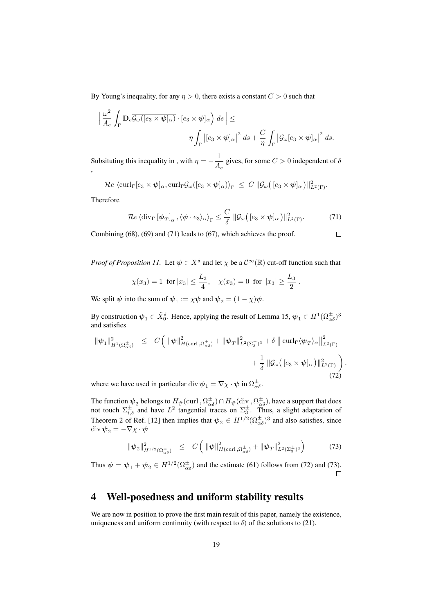By Young's inequality, for any  $\eta > 0$ , there exists a constant  $C > 0$  such that

$$
\left| \frac{\omega^2}{A_e} \int_{\Gamma} \mathbf{D}_e \overline{\mathcal{G}_{\omega}([e_3 \times \psi]_{\alpha})} \cdot [e_3 \times \psi]_{\alpha} \right) ds \right| \le
$$
  

$$
\eta \int_{\Gamma} |[e_3 \times \psi]_{\alpha}|^2 ds + \frac{C}{\eta} \int_{\Gamma} |\mathcal{G}_{\omega}[e_3 \times \psi]_{\alpha}|^2 ds.
$$

Subsituting this inequality in, with  $\eta = -\frac{1}{4}$  $\frac{1}{A_e}$  gives, for some  $C > 0$  independent of  $\delta$ ,

 $\mathcal{R}e \, \bra{\mathrm{curl}_\Gamma [e_3 \times \bm{\psi}]_{\alpha}, \mathrm{curl}_\Gamma \mathcal{G}_{\omega}([e_3 \times \bm{\psi}]_{\alpha}) \rangle_\Gamma} \, \leq \, C \, \|\mathcal{G}_{\omega}\big([e_3 \times \bm{\psi}]_{\alpha} \, \big)\|_{L^2(\Gamma)}^2.$ 

Therefore

$$
\mathcal{R}e\left\langle \mathrm{div}_{\Gamma}\left[\psi_{T}\right]_{\alpha},\langle\psi\cdot e_{3}\rangle_{\alpha}\right\rangle _{\Gamma}\le\frac{C}{\delta}\left\Vert \mathcal{G}_{\omega}\left(\left[e_{3}\times\psi\right]_{\alpha}\right)\right\Vert _{L^{2}\left(\Gamma\right)}^{2}.\tag{71}
$$

 $\Box$ 

Combining (68), (69) and (71) leads to (67), which achieves the proof.

*Proof of Proposition 11.* Let  $\psi \in X^{\delta}$  and let  $\chi$  be a  $C^{\infty}(\mathbb{R})$  cut-off function such that

$$
\chi(x_3) = 1
$$
 for  $|x_3| \le \frac{L_3}{4}$ ,  $\chi(x_3) = 0$  for  $|x_3| \ge \frac{L_3}{2}$ .

We split  $\psi$  into the sum of  $\psi_1 := \chi \psi$  and  $\psi_2 = (1 - \chi)\psi$ .

By construction  $\psi_1 \in \tilde{X}_0^{\delta}$ . Hence, applying the result of Lemma 15,  $\psi_1 \in H^1(\Omega_{\alpha\delta}^{\pm})^3$ and satisfies

$$
\|\psi_1\|_{H^1(\Omega_{\alpha\delta}^{\pm})}^2 \leq C \left( \|\psi\|_{H(\operatorname{curl},\Omega_{\alpha\delta}^{\pm})}^2 + \|\psi_T\|_{L^2(\Sigma_3^{\pm})^3}^2 + \delta \left\| \operatorname{curl}_{\Gamma} \langle \psi_T \rangle_{\alpha} \right\|_{L^2(\Gamma)}^2 + \frac{1}{\delta} \left\| \mathcal{G}_{\omega} \left( [e_3 \times \psi]_{\alpha} \right) \right\|_{L^2(\Gamma)}^2 \right). \tag{72}
$$

where we have used in particular div  $\psi_1 = \nabla \chi \cdot \psi$  in  $\Omega_{\alpha\delta}^{\pm}$ .

The function  $\psi_2$  belongs to  $H_{\#}(\text{curl}, \Omega_{\alpha\delta}^{\pm}) \cap H_{\#}(\text{div}, \Omega_{\alpha\delta}^{\pm})$ , have a support that does not touch  $\Sigma_{i,\delta}^{\pm}$  and have  $L^2$  tangential traces on  $\Sigma_3^{\pm}$ . Thus, a slight adaptation of Theorem 2 of Ref. [12] then implies that  $\psi_2 \in H^{1/2}(\Omega_{\alpha\delta}^{\pm})^3$  and also satisfies, since div  $\psi_2 = -\nabla \chi \cdot \boldsymbol{\psi}$ 

$$
\|\psi_2\|_{H^{1/2}(\Omega_{\alpha\delta}^{\pm})}^2 \leq C \left( \|\psi\|_{H(\text{curl},\Omega_{\alpha\delta}^{\pm})}^2 + \|\psi_T\|_{L^2(\Sigma_3^{\pm})^3}^2 \right) \tag{73}
$$

Thus  $\psi = \psi_1 + \psi_2 \in H^{1/2}(\Omega_{\alpha\delta}^{\pm})$  and the estimate (61) follows from (72) and (73).

# 4 Well-posedness and uniform stability results

We are now in position to prove the first main result of this paper, namely the existence, uniqueness and uniform continuity (with respect to  $\delta$ ) of the solutions to (21).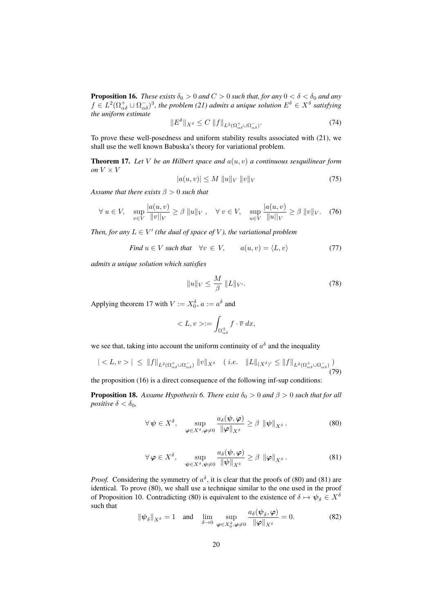**Proposition 16.** *These exists*  $\delta_0 > 0$  *and*  $C > 0$  *such that, for any*  $0 < \delta < \delta_0$  *and any*  $f \in L^2(\Omega^+_{\alpha\delta} \cup \Omega^-_{\alpha\delta})^3$ , the problem (21) admits a unique solution  $E^\delta \in X^\delta$  satisfying *the uniform estimate*

$$
\|E^{\delta}\|_{X^{\delta}} \le C \; \|f\|_{L^{2}(\Omega_{\alpha\delta}^{+} \cup \Omega_{\alpha\delta}^{-})}.
$$
\n
$$
(74)
$$

To prove these well-posedness and uniform stability results associated with (21), we shall use the well known Babuska's theory for variational problem.

Theorem 17. *Let* V *be an Hilbert space and* a(u, v) *a continuous sesquilinear form on*  $V \times V$ 

$$
|a(u, v)| \le M \|u\|_V \|v\|_V
$$
\n(75)

*Assume that there exists* β > 0 *such that*

$$
\forall u \in V, \quad \sup_{v \in V} \frac{|a(u, v)|}{\|v\|_{V}} \ge \beta \|u\|_{V}, \quad \forall v \in V, \quad \sup_{u \in V} \frac{|a(u, v)|}{\|u\|_{V}} \ge \beta \|v\|_{V}. \tag{76}
$$

*Then, for any*  $L \in V'$  (the dual of space of V), the variational problem

Find 
$$
u \in V
$$
 such that  $\forall v \in V$ ,  $a(u, v) = \langle L, v \rangle$  (77)

*admits a unique solution which satisfies*

$$
||u||_V \le \frac{M}{\beta} ||L||_{V'}.
$$
\n(78)

Applying theorem 17 with  $V := X_0^{\delta}$ ,  $a := a^{\delta}$  and

$$
\langle L, v \rangle := \int_{\Omega_{\alpha\delta}^{\pm}} f \cdot \overline{v} \, dx,
$$

we see that, taking into account the uniform continuity of  $a^{\delta}$  and the inequality

$$
| < L, v > | \leq \|f\|_{L^2(\Omega_{\alpha\delta}^+ \cup \Omega_{\alpha\delta}^-)} \|v\|_{X^\delta} \quad (i.e. \quad \|L\|_{(X^\delta)'} \leq \|f\|_{L^2(\Omega_{\alpha\delta}^+ \cup \Omega_{\alpha\delta}^-)} \tag{79}
$$

the proposition (16) is a direct consequence of the following inf-sup conditions:

**Proposition 18.** Assume Hypothesis 6. There exist  $\delta_0 > 0$  and  $\beta > 0$  such that for all *positive*  $\delta < \delta_0$ *,* 

$$
\forall \psi \in X^{\delta}, \quad \sup_{\varphi \in X^{\delta}, \varphi \neq 0} \frac{a_{\delta}(\psi, \varphi)}{\|\varphi\|_{X^{\delta}}} \geq \beta \|\psi\|_{X^{\delta}}.
$$
 (80)

$$
\forall \varphi \in X^{\delta}, \quad \sup_{\psi \in X^{\delta}, \psi \neq 0} \frac{a_{\delta}(\psi, \varphi)}{\|\psi\|_{X^{\delta}}} \geq \beta \|\varphi\|_{X^{\delta}}.
$$
 (81)

*Proof.* Considering the symmetry of  $a^{\delta}$ , it is clear that the proofs of (80) and (81) are identical. To prove (80), we shall use a technique similar to the one used in the proof of Proposition 10. Contradicting (80) is equivalent to the existence of  $\delta \mapsto \psi_{\delta} \in X^{\delta}$ such that

$$
\|\psi_{\delta}\|_{X^{\delta}} = 1 \quad \text{and} \quad \lim_{\delta \to 0} \sup_{\varphi \in X_0^{\delta}, \varphi \neq 0} \frac{a_{\delta}(\psi_{\delta}, \varphi)}{\|\varphi\|_{X^{\delta}}} = 0. \tag{82}
$$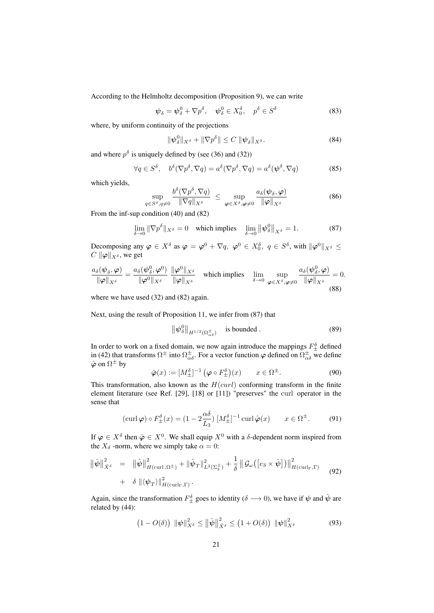According to the Helmholtz decomposition (Proposition 9), we can write

$$
\psi_{\delta} = \psi_{\delta}^{0} + \nabla p^{\delta}, \quad \psi_{\delta}^{0} \in X_{0}^{\delta}, \quad p^{\delta} \in S^{\delta}
$$
\n(83)

where, by uniform continuity of the projections

$$
\|\psi^0_\delta\|_{X^\delta} + \|\nabla p^\delta\| \le C \ \|\psi_\delta\|_{X^\delta}.
$$
\n(84)

and where  $p^{\delta}$  is uniquely defined by (see (36) and (32))

$$
\forall q \in S^{\delta}, \quad b^{\delta}(\nabla p^{\delta}, \nabla q) = a^{\delta}(\nabla p^{\delta}, \nabla q) = a^{\delta}(\boldsymbol{\psi}^{\delta}, \nabla q)
$$
(85)

which yields,

$$
\sup_{q\in S^{\delta}, q\neq 0} \frac{b^{\delta}(\nabla p^{\delta}, \nabla q)}{\|\nabla q\|_{X^{\delta}}} \leq \sup_{\boldsymbol{\varphi}\in X^{\delta}, \boldsymbol{\varphi}\neq 0} \frac{a_{\delta}(\boldsymbol{\psi}_{\delta}, \boldsymbol{\varphi})}{\|\boldsymbol{\varphi}\|_{X^{\delta}}} \tag{86}
$$

From the inf-sup condition (40) and (82)

$$
\lim_{\delta \to 0} \|\nabla p^{\delta}\|_{X^{\delta}} = 0 \quad \text{which implies} \quad \lim_{\delta \to 0} \left\| \psi_{\delta}^{0} \right\|_{X^{\delta}} = 1. \tag{87}
$$

Decomposing any  $\varphi \in X^{\delta}$  as  $\varphi = \varphi^0 + \nabla q$ ,  $\varphi^0 \in X_0^{\delta}$ ,  $q \in S^{\delta}$ , with  $\|\varphi^0\|_{X^{\delta}} \leq$  $C \|\varphi\|_{X^\delta}$ , we get

$$
\frac{a_{\delta}(\psi_{\delta}, \varphi)}{\|\varphi\|_{X^{\delta}}} = \frac{a_{\delta}(\psi_{\delta}^0, \varphi^0)}{\|\varphi^0\|_{X^{\delta}}} \frac{\|\varphi^0\|_{X^{\delta}}}{\|\varphi\|_{X^{\delta}}} \quad \text{which implies} \quad \lim_{\delta \to 0} \sup_{\varphi \in X^{\delta}, \varphi \neq 0} \frac{a_{\delta}(\psi_{\delta}^0, \varphi)}{\|\varphi\|_{X^{\delta}}} = 0.
$$
\n(88)

where we have used (32) and (82) again.

Next, using the result of Proposition 11, we infer from (87) that

$$
\left\| \psi_{\delta}^{0} \right\|_{H^{1/2}(\Omega_{\alpha\delta}^{\pm})} \quad \text{is bounded} \,.
$$

In order to work on a fixed domain, we now again introduce the mappings  $F_{\pm}^{\delta}$  defined in (42) that transforms  $\Omega^{\pm}$  into  $\Omega^{\pm}_{\alpha\delta}$ . For a vector function  $\varphi$  defined on  $\Omega^{\pm}_{\alpha\delta}$  we define  $\hat{\boldsymbol{\varphi}}$  on  $\Omega^{\pm}$  by

$$
\hat{\boldsymbol{\varphi}}(x) := [M_{\pm}^{\delta}]^{-1} \left( \boldsymbol{\varphi} \circ F_{\pm}^{\delta} \right)(x) \qquad x \in \Omega^{\pm}.
$$
 (90)

This transformation, also known as the  $H(curl)$  conforming transform in the finite element literature (see Ref. [29], [18] or [11]) "preserves" the curl operator in the sense that

$$
(\operatorname{curl}\boldsymbol{\varphi})\circ F_{\pm}^{\delta}(x) = (1 - 2\frac{\alpha\delta}{L_3})\left[M_{\pm}^{\delta}\right]^{-1}\operatorname{curl}\hat{\boldsymbol{\varphi}}(x) \qquad x \in \Omega^{\pm}.\tag{91}
$$

If  $\varphi \in X^{\delta}$  then  $\hat{\varphi} \in X^0$ . We shall equip  $X^0$  with a  $\delta$ -dependent norm inspired from the  $X_{\delta}$  -norm, where we simply take  $\alpha = 0$ :

$$
\begin{split} \left\|\hat{\psi}\right\|_{\hat{X}^{\delta}}^{2} &= \left\|\hat{\psi}\right\|_{H(\text{curl},\Omega^{\pm})}^{2} + \left\|\hat{\psi}_{T}\right\|_{L^{2}(\Sigma_{3}^{\pm})}^{2} + \frac{1}{\delta}\left\|\mathcal{G}_{\omega}\left(\left[e_{3} \times \hat{\psi}\right]\right)\right\|_{H(\text{curl}_{\Gamma},\Gamma)}^{2} \\ &+ \delta\left\|\langle\psi_{T}\rangle\right\|_{H(\text{curl}_{\Gamma},\Gamma)}^{2} . \end{split} \tag{92}
$$

Again, since the transformation  $F_{\pm}^{\delta}$  goes to identity ( $\delta \longrightarrow 0$ ), we have if  $\psi$  and  $\hat{\psi}$  are related by (44):

$$
(1 - O(\delta)) \| \psi \|_{X^{\delta}}^2 \le \| \hat{\psi} \|_{\hat{X}^{\delta}}^2 \le (1 + O(\delta)) \| \psi \|_{X^{\delta}}^2 \tag{93}
$$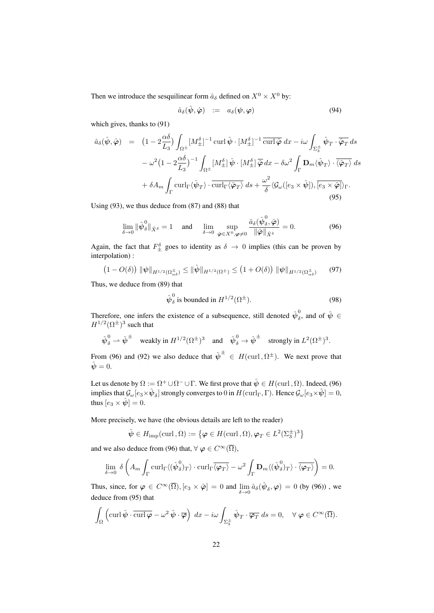Then we introduce the sesquilinear form  $\hat{a}_{\delta}$  defined on  $X^0 \times X^0$  by:

$$
\hat{a}_{\delta}(\hat{\boldsymbol{\psi}},\hat{\boldsymbol{\varphi}}) \quad := \quad a_{\delta}(\boldsymbol{\psi},\boldsymbol{\varphi}) \tag{94}
$$

which gives, thanks to (91)

$$
\hat{a}_{\delta}(\hat{\psi}, \hat{\varphi}) = (1 - 2\frac{\alpha\delta}{L_3}) \int_{\Omega^{\pm}} [M_{\pm}^{\delta}]^{-1} \operatorname{curl} \hat{\psi} \cdot [M_{\pm}^{\delta}]^{-1} \overline{\operatorname{curl} \hat{\varphi}} dx - i\omega \int_{\Sigma_{3}^{\pm}} \hat{\psi}_{T} \cdot \overline{\hat{\varphi}_{T}} ds
$$
  

$$
- \omega^{2} (1 - 2\frac{\alpha\delta}{L_3})^{-1} \int_{\Omega^{\pm}} [M_{\pm}^{\delta}] \hat{\psi} \cdot [M_{\pm}^{\delta}] \overline{\hat{\varphi}} dx - \delta \omega^{2} \int_{\Gamma} \mathbf{D}_{m} \langle \hat{\psi}_{T} \rangle \cdot \overline{\langle \hat{\varphi}_{T} \rangle} ds
$$
  

$$
+ \delta A_{m} \int_{\Gamma} \operatorname{curl}_{\Gamma} \langle \hat{\psi}_{T} \rangle \cdot \overline{\operatorname{curl}_{\Gamma} \langle \hat{\varphi}_{T} \rangle} ds + \frac{\omega^{2}}{\delta} \langle \mathcal{G}_{\omega} ([e_{3} \times \hat{\psi}]), \overline{[e_{3} \times \hat{\varphi}] \rangle_{\Gamma}}. \tag{95}
$$

Using (93), we thus deduce from (87) and (88) that

$$
\lim_{\delta \to 0} \|\hat{\boldsymbol{\psi}}_{\delta}^{0}\|_{\hat{X}^{\delta}} = 1 \quad \text{and} \quad \lim_{\delta \to 0} \sup_{\hat{\boldsymbol{\varphi}} \in X^{0}, \boldsymbol{\varphi} \neq 0} \frac{\hat{a}_{\delta}(\hat{\boldsymbol{\psi}}_{\delta}^{0}, \hat{\boldsymbol{\varphi}})}{\|\hat{\boldsymbol{\varphi}}\|_{\hat{X}^{\delta}}} = 0. \tag{96}
$$

Again, the fact that  $F_{\pm}^{\delta}$  goes to identity as  $\delta \to 0$  implies (this can be proven by interpolation) :

$$
(1 - O(\delta)) \|\psi\|_{H^{1/2}(\Omega_{\alpha\delta}^{\pm})} \le \|\hat{\psi}\|_{H^{1/2}(\Omega^{\pm})} \le (1 + O(\delta)) \|\psi\|_{H^{1/2}(\Omega_{\alpha\delta}^{\pm})}
$$
(97)

Thus, we deduce from (89) that

$$
\hat{\psi}_{\delta}^{0} \text{ is bounded in } H^{1/2}(\Omega^{\pm}).\tag{98}
$$

Therefore, one infers the existence of a subsequence, still denoted  $\hat{\psi}_{\delta}^{0}$  $\hat{\psi}$ , and of  $\hat{\psi} \in$  $H^{1/2}(\Omega^{\pm})^3$  such that

$$
\hat{\psi}_{\delta}^{0} \rightarrow \hat{\psi}^{\pm}
$$
 weakly in  $H^{1/2}(\Omega^{\pm})^3$  and  $\hat{\psi}_{\delta}^{0} \rightarrow \hat{\psi}^{\pm}$  strongly in  $L^2(\Omega^{\pm})^3$ .

From (96) and (92) we also deduce that  $\hat{\psi}^{\pm} \in H(\text{curl}, \Omega^{\pm})$ . We next prove that  $\hat{\psi} = 0.$ 

Let us denote by  $\Omega:=\Omega^+\cup\Omega^-\cup\Gamma.$  We first prove that  $\hat\psi\in H(\mathrm{curl\,},\Omega).$  Indeed, (96) implies that  $\mathcal{G}_{\omega}[e_3\times \hat{\boldsymbol{\psi}}_\delta]$  strongly converges to  $0$  in  $H(\mathrm{curl}_\Gamma,\Gamma)$ . Hence  $\mathcal{G}_{\omega}[e_3\times \hat{\boldsymbol{\psi}}]=0,$ thus  $[e_3 \times \hat{\psi}] = 0$ .

More precisely, we have (the obvious details are left to the reader)

$$
\hat{\psi} \in H_{\mathrm{imp}}(\mathrm{curl}, \Omega) := \left\{ \boldsymbol{\varphi} \in H(\mathrm{curl}, \Omega), \boldsymbol{\varphi}_T \in L^2(\Sigma_3^{\pm})^3 \right\}
$$

and we also deduce from (96) that,  $\forall \varphi \in C^{\infty}(\overline{\Omega})$ ,

$$
\lim_{\delta \to 0} \delta \left( A_m \int_{\Gamma} \mathrm{curl}_{\Gamma} \langle (\hat{\boldsymbol{\psi}}_{\delta}^0)_T \rangle \cdot \mathrm{curl}_{\Gamma} \overline{\langle \boldsymbol{\varphi}_T \rangle} - \omega^2 \int_{\Gamma} \mathbf{D}_m \langle (\hat{\boldsymbol{\psi}}_{\delta}^0)_T \rangle \cdot \overline{\langle \boldsymbol{\varphi}_T \rangle} \right) = 0.
$$

Thus, since, for  $\varphi \in C^{\infty}(\overline{\Omega})$ ,  $[e_3 \times \hat{\varphi}] = 0$  and  $\lim_{\delta \to 0} \hat{a}_{\delta}(\hat{\psi}_{\delta}, \varphi) = 0$  (by (96)), we deduce from (95) that

$$
\int_{\Omega} \left( \operatorname{curl} \hat{\boldsymbol{\psi}} \cdot \overline{\operatorname{curl} \boldsymbol{\varphi}} - \omega^2 \hat{\boldsymbol{\psi}} \cdot \overline{\boldsymbol{\varphi}} \right) dx - i\omega \int_{\Sigma_{3}^{\pm}} \hat{\boldsymbol{\psi}}_{T} \cdot \overline{\boldsymbol{\varphi}_{T}} ds = 0, \quad \forall \, \boldsymbol{\varphi} \in C^{\infty}(\overline{\Omega}).
$$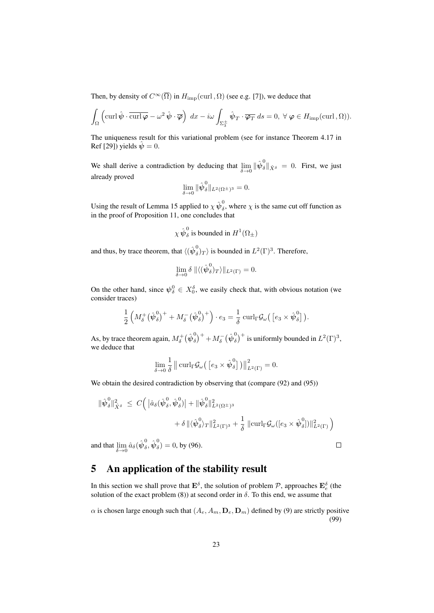Then, by density of  $C^{\infty}(\overline{\Omega})$  in  $H_{\text{imp}}(\text{curl}, \Omega)$  (see e.g. [7]), we deduce that

$$
\int_{\Omega} \left( \operatorname{curl} \hat{\boldsymbol{\psi}} \cdot \overline{\operatorname{curl} \boldsymbol{\varphi}} - \omega^2 \hat{\boldsymbol{\psi}} \cdot \overline{\boldsymbol{\varphi}} \right) dx - i \omega \int_{\Sigma_{3}^{\pm}} \hat{\boldsymbol{\psi}}_{T} \cdot \overline{\boldsymbol{\varphi}_{T}} ds = 0, \ \forall \ \boldsymbol{\varphi} \in H_{\text{imp}}(\operatorname{curl}, \Omega)).
$$

The uniqueness result for this variational problem (see for instance Theorem 4.17 in Ref [29]) yields  $\dot{\psi} = 0$ .

We shall derive a contradiction by deducing that  $\lim_{\delta \to 0}$  $\Vert \hat{\psi}_{\delta}^0 \Vert_{\hat{X}^{\delta}} = 0$ . First, we just already proved

$$
\lim_{\delta \to 0} \|\hat{\boldsymbol{\psi}}_{\delta}^{0}\|_{L^{2}(\Omega^{\pm})^{3}} = 0.
$$

Using the result of Lemma 15 applied to  $\chi \hat{\psi}^0_\delta$  $\delta$ , where  $\chi$  is the same cut off function as in the proof of Proposition 11, one concludes that

$$
\chi \hat{\psi}_{\delta}^{0}
$$
 is bounded in  $H^{1}(\Omega_{\pm})$ 

and thus, by trace theorem, that  $\langle (\hat{\bm{\psi}}^0_{\delta} )$  $\binom{6}{\delta}$  is bounded in  $L^2(\Gamma)^3$ . Therefore,

$$
\lim_{\delta \to 0} \delta \|\langle (\hat{\psi}_{\delta}^0)_T \rangle\|_{L^2(\Gamma)} = 0.
$$

On the other hand, since  $\psi_{\delta}^0 \in X_0^{\delta}$ , we easily check that, with obvious notation (we consider traces)

$$
\frac{1}{2}\left(M_{\delta}^{+}(\hat{\boldsymbol{\psi}}_{\delta}^{0})^{+}+M_{\delta}^{-}(\hat{\boldsymbol{\psi}}_{\delta}^{0})^{+}\right)\cdot e_{3}=\frac{1}{\delta}\operatorname{curl}_{\Gamma}\mathcal{G}_{\omega}\big(\left[e_{3}\times\hat{\boldsymbol{\psi}}_{\delta}^{0}\right]\big).
$$

As, by trace theorem again,  $M_{\delta}^{+}(\hat{\boldsymbol{\psi}}_{\delta}^{0}% ,\hat{\phi}_{\delta}^{0})$  $\big(\delta(\delta)\big)^+ + M^-_\delta(\hat{\boldsymbol{\psi}}^0_\delta)$  $(\delta)^{+}$  is uniformly bounded in  $L^{2}(\Gamma)^{3}$ , we deduce that

$$
\lim_{\delta \to 0} \frac{1}{\delta} \| \operatorname{curl}_{\Gamma} \mathcal{G}_{\omega} \left( \left[ e_3 \times \hat{\boldsymbol{\psi}}_{\delta}^0 \right] \right) \|^2_{L^2(\Gamma)} = 0.
$$

We obtain the desired contradiction by observing that (compare (92) and (95))

$$
\begin{aligned}\n\|\hat{\psi}_{\delta}^{0}\|_{\hat{X}^{\delta}}^{2} &\leq C\Big(\|\hat{a}_{\delta}(\hat{\psi}_{\delta}^{0},\hat{\psi}_{\delta}^{0})\| + \|\hat{\psi}_{\delta}^{0}\|_{L^{2}(\Omega^{\pm})^{3}}^{2} \\
&\quad + \delta \|\langle \hat{\psi}_{\delta}^{0} \rangle_{T}\|_{L^{2}(\Gamma)^{3}}^{2} + \frac{1}{\delta} \|\mathrm{curl}_{\Gamma} \mathcal{G}_{\omega}([\varepsilon_{3} \times \hat{\psi}_{\delta}^{0}])\|_{L^{2}(\Gamma)}^{2}\Big) \\
\end{aligned}
$$
\n
$$
\text{and that } \lim \hat{a}_{\delta}(\hat{\psi}_{\delta}^{0},\hat{\psi}_{\delta}^{0}) = 0, \text{ by (96).} \qquad \Box
$$

and that  $\lim_{\delta \to 0} \hat{a}_{\delta}(\hat{\psi}_{\delta}^0)$  $_{\delta }^{0},\hat{\boldsymbol{\psi}}_{\delta }^{0}$  $\delta$ ) = 0, by (96).

### 5 An application of the stability result

In this section we shall prove that  $\mathbf{E}^{\delta}$ , the solution of problem  $P$ , approaches  $\mathbf{E}_{e}^{\delta}$  (the solution of the exact problem (8)) at second order in  $\delta$ . To this end, we assume that

 $\alpha$  is chosen large enough such that  $(A_e, A_m, D_e, D_m)$  defined by (9) are strictly positive (99)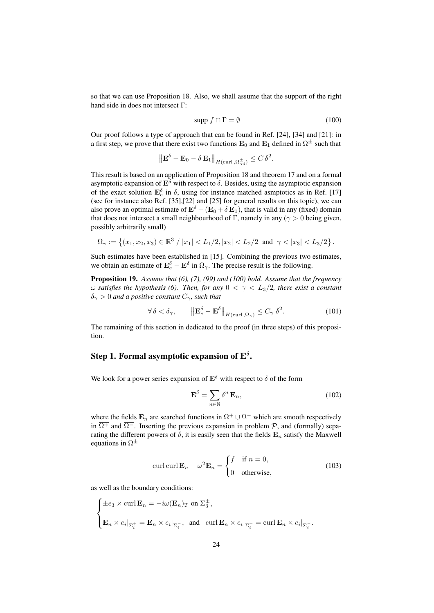so that we can use Proposition 18. Also, we shall assume that the support of the right hand side in does not intersect Γ:

$$
\text{supp } f \cap \Gamma = \emptyset \tag{100}
$$

Our proof follows a type of approach that can be found in Ref. [24], [34] and [21]: in a first step, we prove that there exist two functions  ${\bf E}_0$  and  ${\bf E}_1$  defined in  $\Omega^\pm$  such that

$$
\left\| {\bf E}^\delta - {\bf E}_0 - \delta\, {\bf E}_1 \right\|_{H(\operatorname{curl}, \Omega_{\alpha\delta}^\pm)} \leq C\, \delta^2.
$$

This result is based on an application of Proposition 18 and theorem 17 and on a formal asymptotic expansion of  $\mathbf{E}^{\delta}$  with respect to  $\delta$ . Besides, using the asymptotic expansion of the exact solution  $\mathbf{E}_{e}^{\delta}$  in  $\delta$ , using for instance matched asmptotics as in Ref. [17] (see for instance also Ref. [35],[22] and [25] for general results on this topic), we can also prove an optimal estimate of  $\mathbf{E}^{\delta} - (\mathbf{E}_0 + \delta \mathbf{E}_1)$ , that is valid in any (fixed) domain that does not intersect a small neighbourhood of Γ, namely in any ( $\gamma > 0$  being given, possibly arbitrarily small)

$$
\Omega_{\gamma} := \left\{ (x_1, x_2, x_3) \in \mathbb{R}^3 \; / \; |x_1| < L_1/2, |x_2| < L_2/2 \; \text{ and } \; \gamma < |x_3| < L_3/2 \right\}.
$$

Such estimates have been established in [15]. Combining the previous two estimates, we obtain an estimate of  $\mathbf{E}_{e}^{\delta} - \mathbf{E}^{\delta}$  in  $\Omega_{\gamma}$ . The precise result is the following.

Proposition 19. *Assume that (6), (7), (99) and (100) hold. Assume that the frequency* ω *satisfies the hypothesis (6). Then, for any* 0 < γ < L3/2*, there exist a constant*  $\delta_{\gamma} > 0$  *and a positive constant*  $C_{\gamma}$ *, such that* 

$$
\forall \delta < \delta_{\gamma}, \qquad \left\| \mathbf{E}_{e}^{\delta} - \mathbf{E}^{\delta} \right\|_{H(\text{curl}, \Omega_{\gamma})} \leq C_{\gamma} \delta^{2}.
$$
\n(101)

The remaining of this section in dedicated to the proof (in three steps) of this proposition.

### Step 1. Formal asymptotic expansion of  $\mathrm{E}^{\delta}.$

We look for a power series expansion of  $\mathbf{E}^{\delta}$  with respect to  $\delta$  of the form

$$
\mathbf{E}^{\delta} = \sum_{n \in \mathbb{N}} \delta^n \, \mathbf{E}_n,\tag{102}
$$

where the fields  $\mathbf{E}_n$  are searched functions in  $\Omega^+ \cup \Omega^-$  which are smooth respectively in  $\overline{\Omega^+}$  and  $\overline{\Omega^-}$ . Inserting the previous expansion in problem P, and (formally) separating the different powers of  $\delta$ , it is easily seen that the fields  $\mathbf{E}_n$  satisfy the Maxwell equations in  $\Omega^{\pm}$ 

$$
\operatorname{curl}\operatorname{curl}\mathbf{E}_n - \omega^2 \mathbf{E}_n = \begin{cases} f & \text{if } n = 0, \\ 0 & \text{otherwise,} \end{cases}
$$
(103)

as well as the boundary conditions:

$$
\begin{cases} \pm e_3 \times \operatorname{curl} \mathbf{E}_n = -i\omega(\mathbf{E}_n)_T \text{ on } \Sigma_3^{\pm}, \\ \mathbf{E}_n \times e_i|_{\Sigma_i^+} = \mathbf{E}_n \times e_i|_{\Sigma_i^-}, \text{ and } \operatorname{curl} \mathbf{E}_n \times e_i|_{\Sigma_i^+} = \operatorname{curl} \mathbf{E}_n \times e_i|_{\Sigma_i^-}. \end{cases}
$$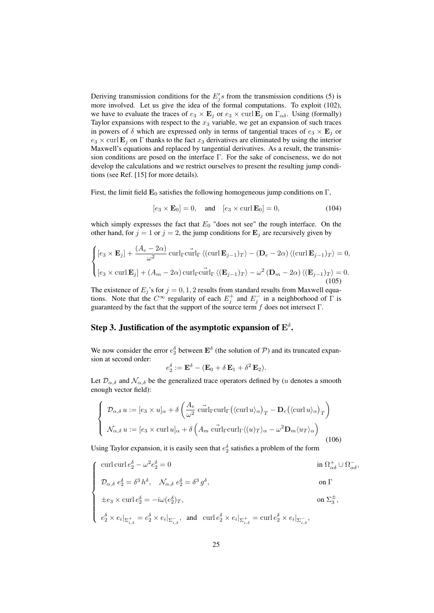Deriving transmission conditions for the  $E_j$ 's from the transmission conditions (5) is more involved. Let us give the idea of the formal computations. To exploit (102), we have to evaluate the traces of  $e_3 \times \mathbf{E}_j$  or  $e_3 \times \text{curl } \mathbf{E}_j$  on  $\Gamma_{\alpha\delta}$ . Using (formally) Taylor expansions with respect to the  $x_3$  variable, we get an expansion of such traces in powers of  $\delta$  which are expressed only in terms of tangential traces of  $e_3 \times \mathbf{E}_j$  or  $e_3 \times$  curl  $\mathbf{E}_i$  on  $\Gamma$  thanks to the fact  $x_3$  derivatives are eliminated by using the interior Maxwell's equations and replaced by tangential derivatives. As a result, the transmission conditions are posed on the interface Γ. For the sake of conciseness, we do not develop the calculations and we restrict ourselves to present the resulting jump conditions (see Ref. [15] for more details).

First, the limit field  $\mathbf{E}_0$  satisfies the following homogeneous jump conditions on  $\Gamma$ ,

$$
[e_3 \times \mathbf{E}_0] = 0, \quad \text{and} \quad [e_3 \times \text{curl } \mathbf{E}_0] = 0,
$$
 (104)

which simply expresses the fact that  $E_0$  "does not see" the rough interface. On the other hand, for  $j = 1$  or  $j = 2$ , the jump conditions for  $\mathbf{E}_j$  are recursively given by

$$
\begin{cases}\n[e_3 \times \mathbf{E}_j] + \frac{(A_e - 2\alpha)}{\omega^2} \operatorname{curl}_{\Gamma} \langle (\operatorname{curl} \mathbf{E}_{j-1})_T \rangle - (\mathbf{D}_e - 2\alpha) \langle (\operatorname{curl} \mathbf{E}_{j-1})_T \rangle = 0, \\
[e_3 \times \operatorname{curl} \mathbf{E}_j] + (A_m - 2\alpha) \operatorname{curl}_{\Gamma} \operatorname{curl} \mathbf{F}_j \langle (\mathbf{E}_{j-1})_T \rangle - \omega^2 (\mathbf{D}_m - 2\alpha) \langle (\mathbf{E}_{j-1})_T \rangle = 0.\n\end{cases}
$$
\n(105)

The existence of  $E_j$ 's for  $j = 0, 1, 2$  results from standard results from Maxwell equations. Note that the  $C^{\infty}$  regularity of each  $E_j^+$  and  $E_j^-$  in a neighborhood of  $\Gamma$  is guaranteed by the fact that the support of the source term  $f$  does not intersect  $\Gamma$ .

### Step 3. Justification of the asymptotic expansion of  $\mathrm{E}^{\delta}.$

We now consider the error  $e_2^{\delta}$  between  $\mathbf{E}^{\delta}$  (the solution of  $P$ ) and its truncated expansion at second order:

$$
e_2^{\delta} := \mathbf{E}^{\delta} - (\mathbf{E}_0 + \delta \mathbf{E}_1 + \delta^2 \mathbf{E}_2).
$$

Let  $\mathcal{D}_{\alpha,\delta}$  and  $\mathcal{N}_{\alpha,\delta}$  be the generalized trace operators defined by (u denotes a smooth enough vector field):

$$
\begin{cases}\n\mathcal{D}_{\alpha,\delta} u := [e_3 \times u]_{\alpha} + \delta \left( \frac{A_e}{\omega^2} \operatorname{curl}_{\Gamma} (\langle \operatorname{curl} u \rangle_{\alpha})_T - \mathbf{D}_e (\langle \operatorname{curl} u \rangle_{\alpha})_T \right) \\
\mathcal{N}_{\alpha,\delta} u := [e_3 \times \operatorname{curl} u]_{\alpha} + \delta \left( A_m \operatorname{curl}_{\Gamma} \langle (u)_T \rangle_{\alpha} - \omega^2 \mathbf{D}_m \langle u_T \rangle_{\alpha} \right)\n\end{cases}
$$
\n(106)

Using Taylor expansion, it is easily seen that  $e_2^{\delta}$  satisfies a problem of the form

$$
\left\{\begin{array}{ll} {\rm curl\, curl\,} e_2^\delta - \omega^2 e_2^\delta = 0 & {\rm in\ } \Omega_{\alpha\delta}^+ \cup \Omega_{\alpha\delta}^- , \\[1.5mm] \mathcal{D}_{\alpha,\delta}\ e_2^\delta = \delta^3\ h^\delta, \quad \mathcal{N}_{\alpha,\delta}\ e_2^\delta = \delta^3\ g^\delta, & {\rm on\ }\Gamma \\[1.5mm] \pm e_3\times {\rm curl\,} e_2^\delta = -i\omega (e_2^\delta)_T, & {\rm on\ }\Sigma_3^\pm, \\[1.5mm] e_2^\delta\times e_i|_{\Sigma_{i,\delta}^+} = e_2^\delta\times e_i|_{\Sigma_{i,\delta}^-}, & {\rm and\ }\ {\rm curl\,} e_2^\delta\times e_i|_{\Sigma_{i,\delta}^+} = {\rm curl\,} e_2^\delta\times e_i|_{\Sigma_{i,\delta}^-}, \end{array}\right.
$$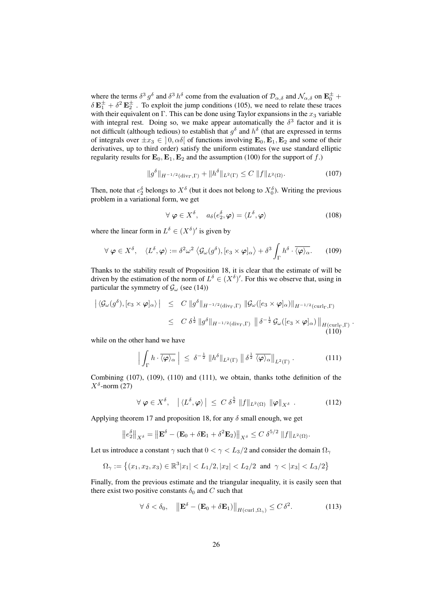where the terms  $\delta^3 g^{\delta}$  and  $\delta^3 h^{\delta}$  come from the evaluation of  $\mathcal{D}_{\alpha,\delta}$  and  $\mathcal{N}_{\alpha,\delta}$  on  $\mathbf{E}_{0}^{\pm}$  +  $\delta \mathbf{E}_1^{\pm} + \delta^2 \mathbf{E}_2^{\pm}$ . To exploit the jump conditions (105), we need to relate these traces with their equivalent on Γ. This can be done using Taylor expansions in the  $x_3$  variable with integral rest. Doing so, we make appear automatically the  $\delta^3$  factor and it is not difficult (although tedious) to establish that  $g^{\delta}$  and  $h^{\delta}$  (that are expressed in terms of integrals over  $\pm x_3 \in [0, \alpha\delta]$  of functions involving  $\mathbf{E}_0$ ,  $\mathbf{E}_1$ ,  $\mathbf{E}_2$  and some of their derivatives, up to third order) satisfy the uniform estimates (we use standard elliptic regularity results for  $\mathbf{E}_0$ ,  $\mathbf{E}_1$ ,  $\mathbf{E}_2$  and the assumption (100) for the support of f.)

$$
\|g^{\delta}\|_{H^{-1/2}(\text{div}_{\Gamma}, \Gamma)} + \|h^{\delta}\|_{L^{2}(\Gamma)} \leq C \|f\|_{L^{2}(\Omega)}.
$$
 (107)

Then, note that  $e_2^{\delta}$  belongs to  $X^{\delta}$  (but it does not belong to  $X_0^{\delta}$ ). Writing the previous problem in a variational form, we get

$$
\forall \boldsymbol{\varphi} \in X^{\delta}, \quad a_{\delta}(e_2^{\delta}, \boldsymbol{\varphi}) = \langle L^{\delta}, \boldsymbol{\varphi} \rangle \tag{108}
$$

where the linear form in  $L^{\delta} \in (X^{\delta})'$  is given by

$$
\forall \boldsymbol{\varphi} \in X^{\delta}, \quad \langle L^{\delta}, \boldsymbol{\varphi} \rangle := \delta^2 \omega^2 \left\langle \mathcal{G}_{\omega}(g^{\delta}), [e_3 \times \boldsymbol{\varphi}]_{\alpha} \right\rangle + \delta^3 \int_{\Gamma} h^{\delta} \cdot \overline{\langle \boldsymbol{\varphi} \rangle_{\alpha}}. \tag{109}
$$

Thanks to the stability result of Proposition 18, it is clear that the estimate of will be driven by the estimation of the norm of  $L^{\delta} \in (X^{\delta})'$ . For this we observe that, using in particular the symmetry of  $\mathcal{G}_{\omega}$  (see (14))

$$
\left| \langle \mathcal{G}_{\omega}(g^{\delta}), [e_3 \times \varphi]_{\alpha} \rangle \right| \leq C \|g^{\delta}\|_{H^{-1/2}(\text{div}_{\Gamma}, \Gamma)} \| \mathcal{G}_{\omega}([e_3 \times \varphi]_{\alpha}) \|_{H^{-1/2}(\text{curl}_{\Gamma}, \Gamma)}
$$
  

$$
\leq C \delta^{\frac{1}{2}} \|g^{\delta}\|_{H^{-1/2}(\text{div}_{\Gamma}, \Gamma)} \| \delta^{-\frac{1}{2}} \mathcal{G}_{\omega}([e_3 \times \varphi]_{\alpha}) \|_{H(\text{curl}_{\Gamma}, \Gamma)} . \tag{110}
$$

while on the other hand we have

$$
\left| \int_{\Gamma} h \cdot \overline{\langle \varphi \rangle_{\alpha}} \right| \leq \delta^{-\frac{1}{2}} \left\| h^{\delta} \right\|_{L^{2}(\Gamma)} \left\| \delta^{\frac{1}{2}} \overline{\langle \varphi \rangle_{\alpha}} \right\|_{L^{2}(\Gamma)} . \tag{111}
$$

Combining (107), (109), (110) and (111), we obtain, thanks tothe definition of the  $X^{\delta}$ -norm (27)

$$
\forall \varphi \in X^{\delta}, \quad \left| \langle L^{\delta}, \varphi \rangle \right| \leq C \, \delta^{\frac{5}{2}} \, \|f\|_{L^{2}(\Omega)} \, \|\varphi\|_{X^{\delta}} \, . \tag{112}
$$

Applying theorem 17 and proposition 18, for any  $\delta$  small enough, we get

$$
\left\|e_2^{\delta}\right\|_{X^{\delta}} = \left\|\mathbf{E}^{\delta} - (\mathbf{E}_0 + \delta \mathbf{E}_1 + \delta^2 \mathbf{E}_2)\right\|_{X^{\delta}} \leq C \delta^{5/2} \|f\|_{L^2(\Omega)}.
$$

Let us introduce a constant  $\gamma$  such that  $0 < \gamma < L_3/2$  and consider the domain  $\Omega_{\gamma}$ 

$$
\Omega_{\gamma}:=\left\{(x_1,x_2,x_3)\in \mathbb{R}^3|x_1|
$$

Finally, from the previous estimate and the triangular inequality, it is easily seen that there exist two positive constants  $\delta_0$  and C such that

$$
\forall \delta < \delta_0, \quad \left\| \mathbf{E}^{\delta} - (\mathbf{E}_0 + \delta \mathbf{E}_1) \right\|_{H(\text{curl}, \Omega_{\gamma})} \le C \delta^2. \tag{113}
$$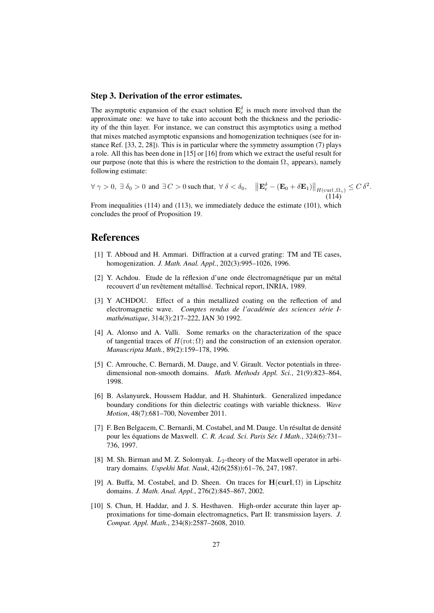#### Step 3. Derivation of the error estimates.

The asymptotic expansion of the exact solution  $\mathbf{E}_{e}^{\delta}$  is much more involved than the approximate one: we have to take into account both the thickness and the periodicity of the thin layer. For instance, we can construct this asymptotics using a method that mixes matched asymptotic expansions and homogenization techniques (see for instance Ref. [33, 2, 28]). This is in particular where the symmetry assumption (7) plays a role. All this has been done in [15] or [16] from which we extract the useful result for our purpose (note that this is where the restriction to the domain  $\Omega_{\gamma}$  appears), namely following estimate:

 $\forall \gamma > 0, \exists \delta_0 > 0 \text{ and } \exists C > 0 \text{ such that, } \forall \delta < \delta_0, \quad \left\| \mathbf{E}_e^{\delta} - (\mathbf{E}_0 + \delta \mathbf{E}_1) \right\|_{H(\text{curl}, \Omega_{\gamma})} \leq C \delta^2.$  $(114)$ 

From inequalities (114) and (113), we immediately deduce the estimate (101), which concludes the proof of Proposition 19.

### References

- [1] T. Abboud and H. Ammari. Diffraction at a curved grating: TM and TE cases, homogenization. *J. Math. Anal. Appl.*, 202(3):995–1026, 1996.
- [2] Y. Achdou. Etude de la réflexion d'une onde électromagnétique par un métal recouvert d'un revêtement métallisé. Technical report, INRIA, 1989.
- [3] Y ACHDOU. Effect of a thin metallized coating on the reflection of and electromagnetic wave. *Comptes rendus de l'académie des sciences série Imathématique*, 314(3):217–222, JAN 30 1992.
- [4] A. Alonso and A. Valli. Some remarks on the characterization of the space of tangential traces of  $H(\text{rot}; \Omega)$  and the construction of an extension operator. *Manuscripta Math.*, 89(2):159–178, 1996.
- [5] C. Amrouche, C. Bernardi, M. Dauge, and V. Girault. Vector potentials in threedimensional non-smooth domains. *Math. Methods Appl. Sci.*, 21(9):823–864, 1998.
- [6] B. Aslanyurek, Houssem Haddar, and H. Shahinturk. Generalized impedance boundary conditions for thin dielectric coatings with variable thickness. *Wave Motion*, 48(7):681–700, November 2011.
- [7] F. Ben Belgacem, C. Bernardi, M. Costabel, and M. Dauge. Un résultat de densité pour les équations de Maxwell. *C. R. Acad. Sci. Paris Sér. I Math.*, 324(6):731– 736, 1997.
- [8] M. Sh. Birman and M. Z. Solomyak.  $L_2$ -theory of the Maxwell operator in arbitrary domains. *Uspekhi Mat. Nauk*, 42(6(258)):61–76, 247, 1987.
- [9] A. Buffa, M. Costabel, and D. Sheen. On traces for  $H(\text{curl}, \Omega)$  in Lipschitz domains. *J. Math. Anal. Appl.*, 276(2):845–867, 2002.
- [10] S. Chun, H. Haddar, and J. S. Hesthaven. High-order accurate thin layer approximations for time-domain electromagnetics, Part II: transmission layers. *J. Comput. Appl. Math.*, 234(8):2587–2608, 2010.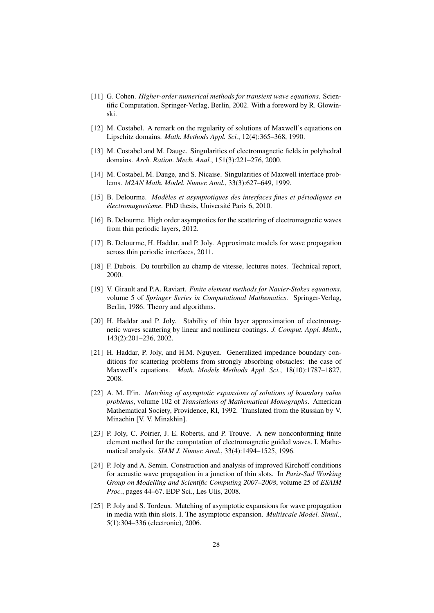- [11] G. Cohen. *Higher-order numerical methods for transient wave equations*. Scientific Computation. Springer-Verlag, Berlin, 2002. With a foreword by R. Glowinski.
- [12] M. Costabel. A remark on the regularity of solutions of Maxwell's equations on Lipschitz domains. *Math. Methods Appl. Sci.*, 12(4):365–368, 1990.
- [13] M. Costabel and M. Dauge. Singularities of electromagnetic fields in polyhedral domains. *Arch. Ration. Mech. Anal.*, 151(3):221–276, 2000.
- [14] M. Costabel, M. Dauge, and S. Nicaise. Singularities of Maxwell interface problems. *M2AN Math. Model. Numer. Anal.*, 33(3):627–649, 1999.
- [15] B. Delourme. *Modèles et asymptotiques des interfaces fines et périodiques en électromagnetisme*. PhD thesis, Université Paris 6, 2010.
- [16] B. Delourme. High order asymptotics for the scattering of electromagnetic waves from thin periodic layers, 2012.
- [17] B. Delourme, H. Haddar, and P. Joly. Approximate models for wave propagation across thin periodic interfaces, 2011.
- [18] F. Dubois. Du tourbillon au champ de vitesse, lectures notes. Technical report, 2000.
- [19] V. Girault and P.A. Raviart. *Finite element methods for Navier-Stokes equations*, volume 5 of *Springer Series in Computational Mathematics*. Springer-Verlag, Berlin, 1986. Theory and algorithms.
- [20] H. Haddar and P. Joly. Stability of thin layer approximation of electromagnetic waves scattering by linear and nonlinear coatings. *J. Comput. Appl. Math.*, 143(2):201–236, 2002.
- [21] H. Haddar, P. Joly, and H.M. Nguyen. Generalized impedance boundary conditions for scattering problems from strongly absorbing obstacles: the case of Maxwell's equations. *Math. Models Methods Appl. Sci.*, 18(10):1787–1827, 2008.
- [22] A. M. Il'in. Matching of asymptotic expansions of solutions of boundary value *problems*, volume 102 of *Translations of Mathematical Monographs*. American Mathematical Society, Providence, RI, 1992. Translated from the Russian by V. Minachin [V. V. Minakhin].
- [23] P. Joly, C. Poirier, J. E. Roberts, and P. Trouve. A new nonconforming finite element method for the computation of electromagnetic guided waves. I. Mathematical analysis. *SIAM J. Numer. Anal.*, 33(4):1494–1525, 1996.
- [24] P. Joly and A. Semin. Construction and analysis of improved Kirchoff conditions for acoustic wave propagation in a junction of thin slots. In *Paris-Sud Working Group on Modelling and Scientific Computing 2007–2008*, volume 25 of *ESAIM Proc.*, pages 44–67. EDP Sci., Les Ulis, 2008.
- [25] P. Joly and S. Tordeux. Matching of asymptotic expansions for wave propagation in media with thin slots. I. The asymptotic expansion. *Multiscale Model. Simul.*, 5(1):304–336 (electronic), 2006.